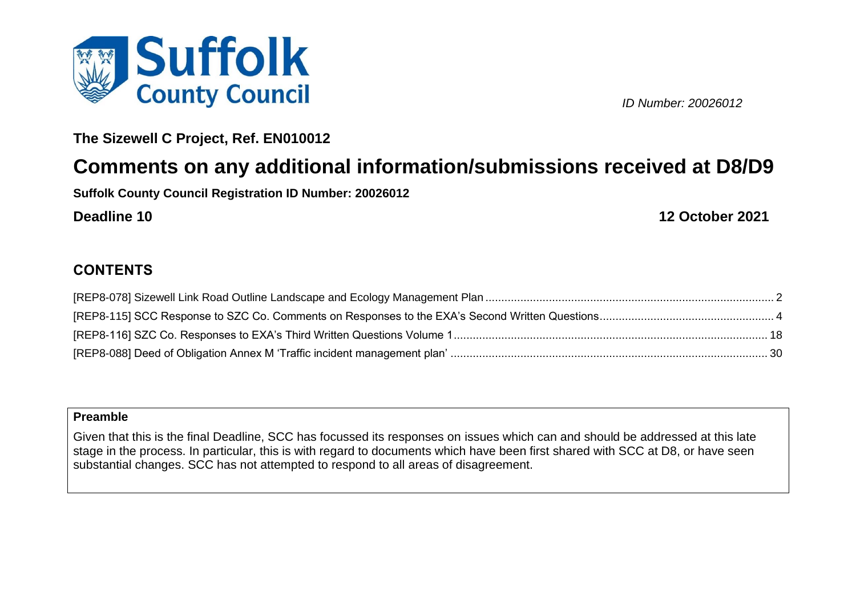

*ID Number: 20026012*

**The Sizewell C Project, Ref. EN010012**

# **Comments on any additional information/submissions received at D8/D9**

**Suffolk County Council Registration ID Number: 20026012**

**Deadline 10 12 October 2021**

### **CONTENTS**

### **Preamble**

Given that this is the final Deadline, SCC has focussed its responses on issues which can and should be addressed at this late stage in the process. In particular, this is with regard to documents which have been first shared with SCC at D8, or have seen substantial changes. SCC has not attempted to respond to all areas of disagreement.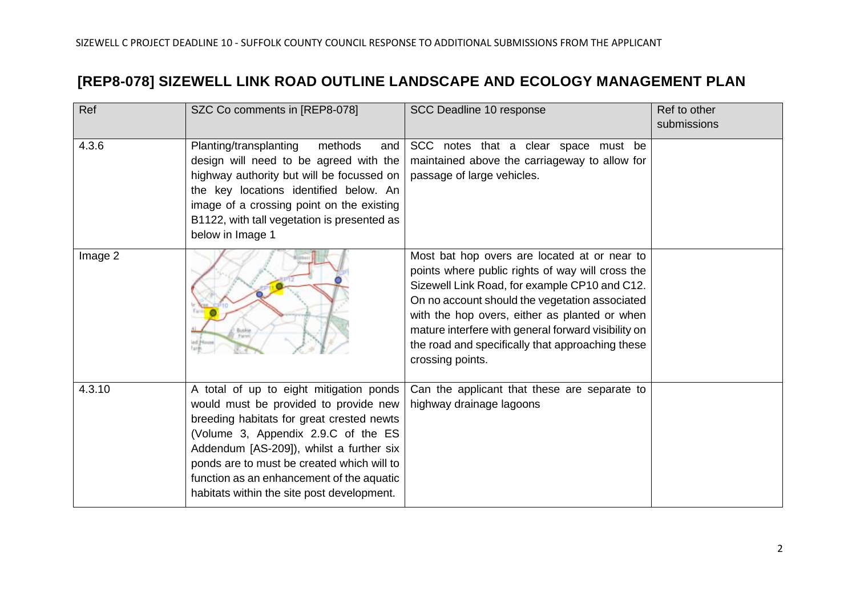## <span id="page-1-0"></span>**[REP8-078] SIZEWELL LINK ROAD OUTLINE LANDSCAPE AND ECOLOGY MANAGEMENT PLAN**

| Ref     | SZC Co comments in [REP8-078]                                                                                                                                                                                                                                                                                                                             | SCC Deadline 10 response                                                                                                                                                                                                                                                                                                                                                            | Ref to other<br>submissions |
|---------|-----------------------------------------------------------------------------------------------------------------------------------------------------------------------------------------------------------------------------------------------------------------------------------------------------------------------------------------------------------|-------------------------------------------------------------------------------------------------------------------------------------------------------------------------------------------------------------------------------------------------------------------------------------------------------------------------------------------------------------------------------------|-----------------------------|
| 4.3.6   | Planting/transplanting<br>methods<br>and  <br>design will need to be agreed with the<br>highway authority but will be focussed on<br>the key locations identified below. An<br>image of a crossing point on the existing<br>B1122, with tall vegetation is presented as<br>below in Image 1                                                               | SCC notes that a clear space must be<br>maintained above the carriageway to allow for<br>passage of large vehicles.                                                                                                                                                                                                                                                                 |                             |
| Image 2 | Busine.                                                                                                                                                                                                                                                                                                                                                   | Most bat hop overs are located at or near to<br>points where public rights of way will cross the<br>Sizewell Link Road, for example CP10 and C12.<br>On no account should the vegetation associated<br>with the hop overs, either as planted or when<br>mature interfere with general forward visibility on<br>the road and specifically that approaching these<br>crossing points. |                             |
| 4.3.10  | A total of up to eight mitigation ponds<br>would must be provided to provide new<br>breeding habitats for great crested newts<br>(Volume 3, Appendix 2.9.C of the ES<br>Addendum [AS-209]), whilst a further six<br>ponds are to must be created which will to<br>function as an enhancement of the aquatic<br>habitats within the site post development. | Can the applicant that these are separate to<br>highway drainage lagoons                                                                                                                                                                                                                                                                                                            |                             |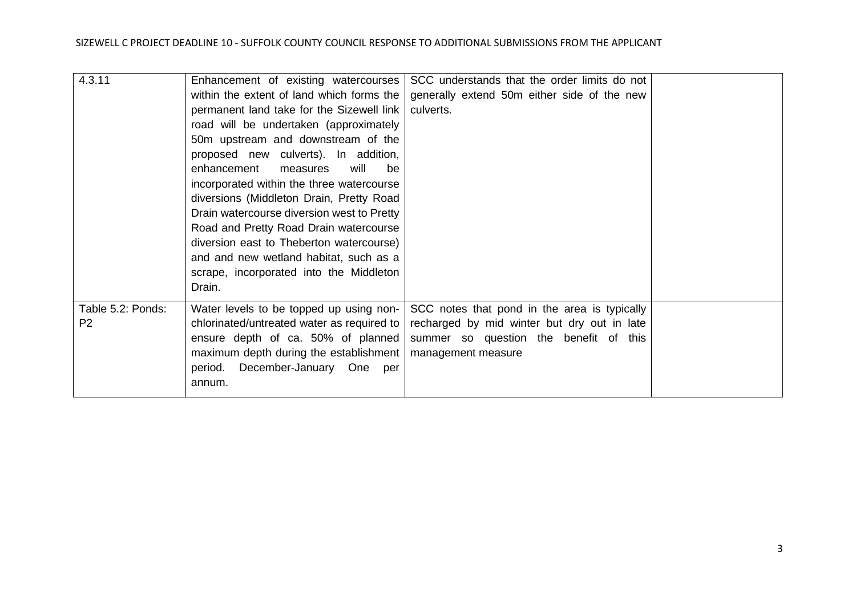| 4.3.11            | Enhancement of existing watercourses       | SCC understands that the order limits do not |  |
|-------------------|--------------------------------------------|----------------------------------------------|--|
|                   | within the extent of land which forms the  | generally extend 50m either side of the new  |  |
|                   | permanent land take for the Sizewell link  | culverts.                                    |  |
|                   | road will be undertaken (approximately     |                                              |  |
|                   | 50m upstream and downstream of the         |                                              |  |
|                   | proposed new culverts). In addition,       |                                              |  |
|                   | enhancement<br>will<br>measures<br>be      |                                              |  |
|                   | incorporated within the three watercourse  |                                              |  |
|                   | diversions (Middleton Drain, Pretty Road   |                                              |  |
|                   | Drain watercourse diversion west to Pretty |                                              |  |
|                   | Road and Pretty Road Drain watercourse     |                                              |  |
|                   | diversion east to Theberton watercourse)   |                                              |  |
|                   | and and new wetland habitat, such as a     |                                              |  |
|                   | scrape, incorporated into the Middleton    |                                              |  |
|                   | Drain.                                     |                                              |  |
|                   |                                            |                                              |  |
| Table 5.2: Ponds: | Water levels to be topped up using non-    | SCC notes that pond in the area is typically |  |
| P <sub>2</sub>    | chlorinated/untreated water as required to | recharged by mid winter but dry out in late  |  |
|                   | ensure depth of ca. 50% of planned         | summer so question the benefit of this       |  |
|                   | maximum depth during the establishment     | management measure                           |  |
|                   | period. December-January One<br>per        |                                              |  |
|                   | annum.                                     |                                              |  |
|                   |                                            |                                              |  |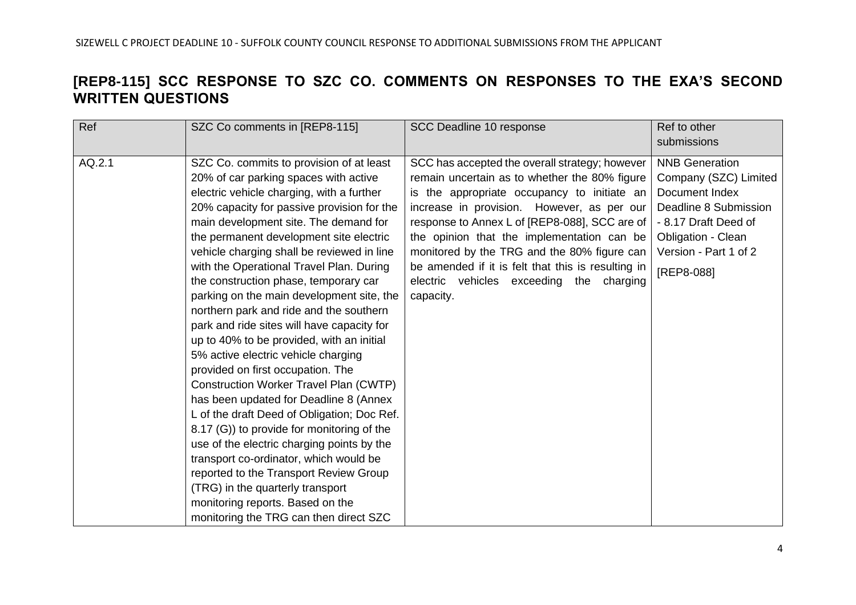### <span id="page-3-0"></span>**[REP8-115] SCC RESPONSE TO SZC CO. COMMENTS ON RESPONSES TO THE EXA'S SECOND WRITTEN QUESTIONS**

| Ref    | SZC Co comments in [REP8-115]                                                                                                                                                                                                                                                                                                                                                                                                                                                                                                                                                                                                                                                                                                                                                                                                                                                                                                                                                                                                                                                                                  | SCC Deadline 10 response                                                                                                                                                                                                                                                                                                                                                                                                                                  | Ref to other<br>submissions                                                                                                                                                           |
|--------|----------------------------------------------------------------------------------------------------------------------------------------------------------------------------------------------------------------------------------------------------------------------------------------------------------------------------------------------------------------------------------------------------------------------------------------------------------------------------------------------------------------------------------------------------------------------------------------------------------------------------------------------------------------------------------------------------------------------------------------------------------------------------------------------------------------------------------------------------------------------------------------------------------------------------------------------------------------------------------------------------------------------------------------------------------------------------------------------------------------|-----------------------------------------------------------------------------------------------------------------------------------------------------------------------------------------------------------------------------------------------------------------------------------------------------------------------------------------------------------------------------------------------------------------------------------------------------------|---------------------------------------------------------------------------------------------------------------------------------------------------------------------------------------|
| AQ.2.1 | SZC Co. commits to provision of at least<br>20% of car parking spaces with active<br>electric vehicle charging, with a further<br>20% capacity for passive provision for the<br>main development site. The demand for<br>the permanent development site electric<br>vehicle charging shall be reviewed in line<br>with the Operational Travel Plan. During<br>the construction phase, temporary car<br>parking on the main development site, the<br>northern park and ride and the southern<br>park and ride sites will have capacity for<br>up to 40% to be provided, with an initial<br>5% active electric vehicle charging<br>provided on first occupation. The<br><b>Construction Worker Travel Plan (CWTP)</b><br>has been updated for Deadline 8 (Annex<br>L of the draft Deed of Obligation; Doc Ref.<br>8.17 (G)) to provide for monitoring of the<br>use of the electric charging points by the<br>transport co-ordinator, which would be<br>reported to the Transport Review Group<br>(TRG) in the quarterly transport<br>monitoring reports. Based on the<br>monitoring the TRG can then direct SZC | SCC has accepted the overall strategy; however<br>remain uncertain as to whether the 80% figure<br>is the appropriate occupancy to initiate an<br>increase in provision. However, as per our<br>response to Annex L of [REP8-088], SCC are of<br>the opinion that the implementation can be<br>monitored by the TRG and the 80% figure can<br>be amended if it is felt that this is resulting in<br>electric vehicles exceeding the charging<br>capacity. | <b>NNB Generation</b><br>Company (SZC) Limited<br>Document Index<br>Deadline 8 Submission<br>- 8.17 Draft Deed of<br><b>Obligation - Clean</b><br>Version - Part 1 of 2<br>[REP8-088] |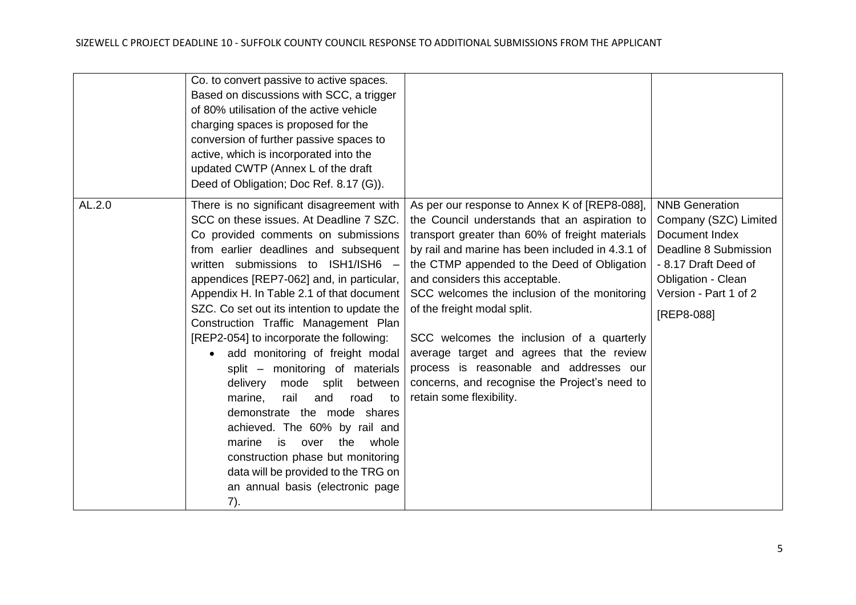|        | Co. to convert passive to active spaces.<br>Based on discussions with SCC, a trigger<br>of 80% utilisation of the active vehicle<br>charging spaces is proposed for the<br>conversion of further passive spaces to<br>active, which is incorporated into the<br>updated CWTP (Annex L of the draft<br>Deed of Obligation; Doc Ref. 8.17 (G)).                                                                                                                                                                                                                                                                                                                                                                                                                                                                                             |                                                                                                                                                                                                                                                                                                                                                                                                                                                                                                                                                                                         |                                                                                                                                                                                |
|--------|-------------------------------------------------------------------------------------------------------------------------------------------------------------------------------------------------------------------------------------------------------------------------------------------------------------------------------------------------------------------------------------------------------------------------------------------------------------------------------------------------------------------------------------------------------------------------------------------------------------------------------------------------------------------------------------------------------------------------------------------------------------------------------------------------------------------------------------------|-----------------------------------------------------------------------------------------------------------------------------------------------------------------------------------------------------------------------------------------------------------------------------------------------------------------------------------------------------------------------------------------------------------------------------------------------------------------------------------------------------------------------------------------------------------------------------------------|--------------------------------------------------------------------------------------------------------------------------------------------------------------------------------|
| AL.2.0 | There is no significant disagreement with<br>SCC on these issues. At Deadline 7 SZC.<br>Co provided comments on submissions<br>from earlier deadlines and subsequent<br>written submissions to ISH1/ISH6 -<br>appendices [REP7-062] and, in particular,<br>Appendix H. In Table 2.1 of that document<br>SZC. Co set out its intention to update the<br>Construction Traffic Management Plan<br>[REP2-054] to incorporate the following:<br>add monitoring of freight modal<br>$\bullet$<br>split – monitoring of materials<br>delivery<br>mode<br>split<br>between<br>rail<br>marine,<br>and<br>road<br>to<br>demonstrate the mode shares<br>achieved. The 60% by rail and<br>is<br>the<br>whole<br>over<br>marine<br>construction phase but monitoring<br>data will be provided to the TRG on<br>an annual basis (electronic page<br>7). | As per our response to Annex K of [REP8-088],<br>the Council understands that an aspiration to<br>transport greater than 60% of freight materials<br>by rail and marine has been included in 4.3.1 of<br>the CTMP appended to the Deed of Obligation<br>and considers this acceptable.<br>SCC welcomes the inclusion of the monitoring<br>of the freight modal split.<br>SCC welcomes the inclusion of a quarterly<br>average target and agrees that the review<br>process is reasonable and addresses our<br>concerns, and recognise the Project's need to<br>retain some flexibility. | <b>NNB Generation</b><br>Company (SZC) Limited<br>Document Index<br>Deadline 8 Submission<br>- 8.17 Draft Deed of<br>Obligation - Clean<br>Version - Part 1 of 2<br>[REP8-088] |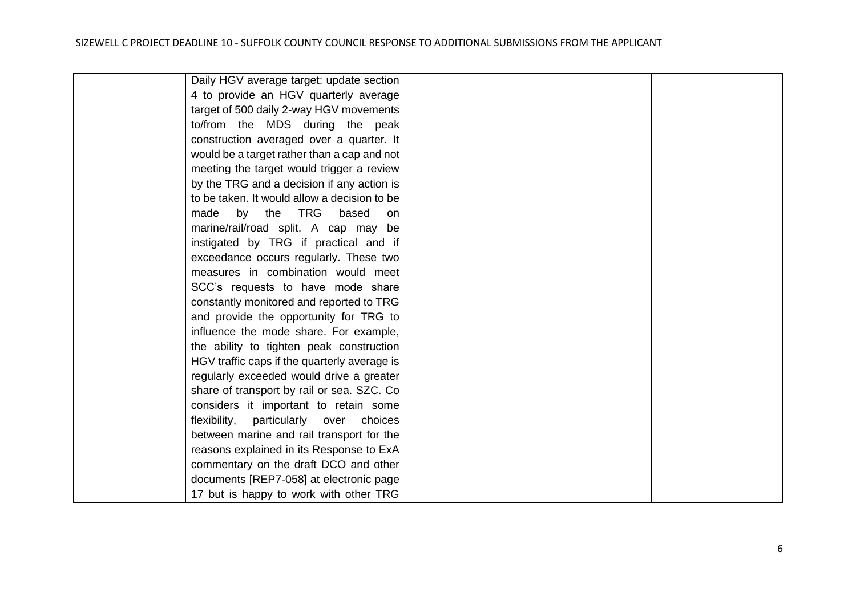| Daily HGV average target: update section        |  |
|-------------------------------------------------|--|
| 4 to provide an HGV quarterly average           |  |
| target of 500 daily 2-way HGV movements         |  |
| to/from the MDS during the peak                 |  |
| construction averaged over a quarter. It        |  |
| would be a target rather than a cap and not     |  |
| meeting the target would trigger a review       |  |
| by the TRG and a decision if any action is      |  |
| to be taken. It would allow a decision to be    |  |
| by the TRG<br>made<br>based<br>on               |  |
| marine/rail/road split. A cap may be            |  |
| instigated by TRG if practical and if           |  |
| exceedance occurs regularly. These two          |  |
| measures in combination would meet              |  |
| SCC's requests to have mode share               |  |
| constantly monitored and reported to TRG        |  |
| and provide the opportunity for TRG to          |  |
| influence the mode share. For example,          |  |
| the ability to tighten peak construction        |  |
| HGV traffic caps if the quarterly average is    |  |
| regularly exceeded would drive a greater        |  |
| share of transport by rail or sea. SZC. Co      |  |
| considers it important to retain some           |  |
| particularly<br>flexibility,<br>over<br>choices |  |
| between marine and rail transport for the       |  |
| reasons explained in its Response to ExA        |  |
| commentary on the draft DCO and other           |  |
| documents [REP7-058] at electronic page         |  |
| 17 but is happy to work with other TRG          |  |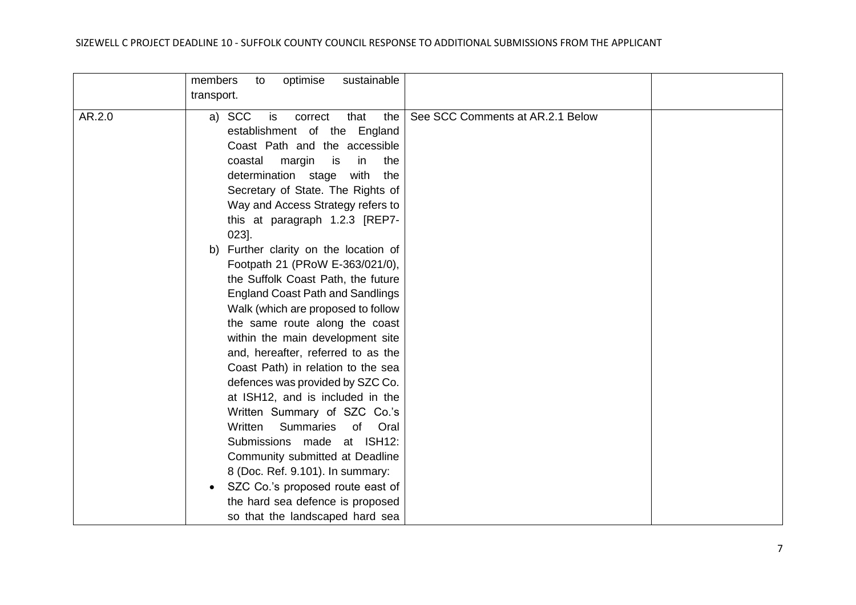#### SIZEWELL C PROJECT DEADLINE 10 - SUFFOLK COUNTY COUNCIL RESPONSE TO ADDITIONAL SUBMISSIONS FROM THE APPLICANT

|        | sustainable<br>members<br>optimise<br>to                               |                                  |  |
|--------|------------------------------------------------------------------------|----------------------------------|--|
|        | transport.                                                             |                                  |  |
| AR.2.0 | the<br>a) SCC<br>that<br>is<br>correct<br>establishment of the England | See SCC Comments at AR.2.1 Below |  |
|        |                                                                        |                                  |  |
|        | Coast Path and the accessible                                          |                                  |  |
|        | coastal<br>margin<br>in<br>the<br>is                                   |                                  |  |
|        | determination stage<br>the<br>with                                     |                                  |  |
|        | Secretary of State. The Rights of                                      |                                  |  |
|        | Way and Access Strategy refers to                                      |                                  |  |
|        | this at paragraph 1.2.3 [REP7-                                         |                                  |  |
|        | $023$ ].                                                               |                                  |  |
|        | Further clarity on the location of<br>b)                               |                                  |  |
|        | Footpath 21 (PRoW E-363/021/0),                                        |                                  |  |
|        | the Suffolk Coast Path, the future                                     |                                  |  |
|        | <b>England Coast Path and Sandlings</b>                                |                                  |  |
|        | Walk (which are proposed to follow                                     |                                  |  |
|        | the same route along the coast                                         |                                  |  |
|        | within the main development site                                       |                                  |  |
|        | and, hereafter, referred to as the                                     |                                  |  |
|        | Coast Path) in relation to the sea                                     |                                  |  |
|        | defences was provided by SZC Co.                                       |                                  |  |
|        | at ISH12, and is included in the                                       |                                  |  |
|        | Written Summary of SZC Co.'s                                           |                                  |  |
|        | Written<br><b>Summaries</b><br>of<br>Oral                              |                                  |  |
|        | Submissions made at ISH12:                                             |                                  |  |
|        | Community submitted at Deadline                                        |                                  |  |
|        | 8 (Doc. Ref. 9.101). In summary:                                       |                                  |  |
|        | SZC Co.'s proposed route east of<br>$\bullet$                          |                                  |  |
|        | the hard sea defence is proposed                                       |                                  |  |
|        | so that the landscaped hard sea                                        |                                  |  |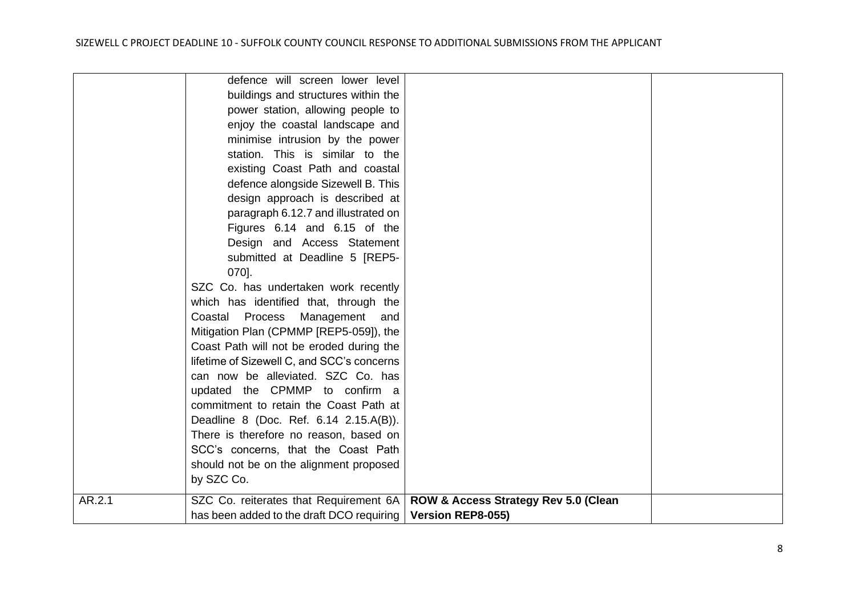|        | defence will screen lower level<br>buildings and structures within the<br>power station, allowing people to<br>enjoy the coastal landscape and<br>minimise intrusion by the power<br>station. This is similar to the<br>existing Coast Path and coastal<br>defence alongside Sizewell B. This<br>design approach is described at<br>paragraph 6.12.7 and illustrated on<br>Figures 6.14 and 6.15 of the<br>Design and Access Statement<br>submitted at Deadline 5 [REP5-<br>070].<br>SZC Co. has undertaken work recently<br>which has identified that, through the<br>Process<br>Management<br>Coastal<br>and<br>Mitigation Plan (CPMMP [REP5-059]), the<br>Coast Path will not be eroded during the<br>lifetime of Sizewell C, and SCC's concerns<br>can now be alleviated. SZC Co. has<br>updated the CPMMP to confirm a<br>commitment to retain the Coast Path at<br>Deadline 8 (Doc. Ref. 6.14 2.15.A(B)).<br>There is therefore no reason, based on<br>SCC's concerns, that the Coast Path<br>should not be on the alignment proposed |                                                           |  |
|--------|---------------------------------------------------------------------------------------------------------------------------------------------------------------------------------------------------------------------------------------------------------------------------------------------------------------------------------------------------------------------------------------------------------------------------------------------------------------------------------------------------------------------------------------------------------------------------------------------------------------------------------------------------------------------------------------------------------------------------------------------------------------------------------------------------------------------------------------------------------------------------------------------------------------------------------------------------------------------------------------------------------------------------------------------|-----------------------------------------------------------|--|
| AR.2.1 | by SZC Co.<br>SZC Co. reiterates that Requirement 6A<br>has been added to the draft DCO requiring                                                                                                                                                                                                                                                                                                                                                                                                                                                                                                                                                                                                                                                                                                                                                                                                                                                                                                                                           | ROW & Access Strategy Rev 5.0 (Clean<br>Version REP8-055) |  |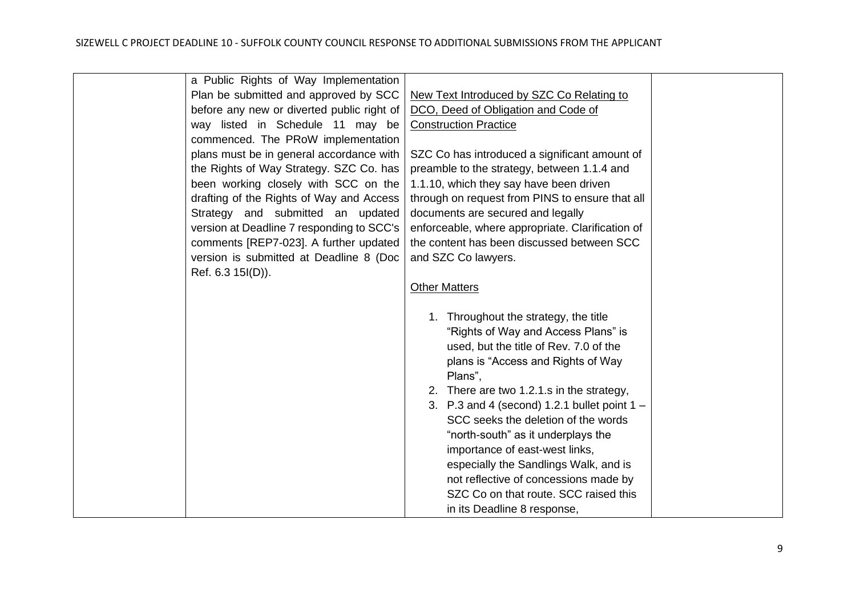| a Public Rights of Way Implementation      |                                                  |  |
|--------------------------------------------|--------------------------------------------------|--|
| Plan be submitted and approved by SCC      | New Text Introduced by SZC Co Relating to        |  |
| before any new or diverted public right of | DCO, Deed of Obligation and Code of              |  |
| way listed in Schedule 11 may be           | <b>Construction Practice</b>                     |  |
| commenced. The PRoW implementation         |                                                  |  |
| plans must be in general accordance with   | SZC Co has introduced a significant amount of    |  |
| the Rights of Way Strategy. SZC Co. has    | preamble to the strategy, between 1.1.4 and      |  |
| been working closely with SCC on the       | 1.1.10, which they say have been driven          |  |
| drafting of the Rights of Way and Access   | through on request from PINS to ensure that all  |  |
| Strategy and submitted an updated          | documents are secured and legally                |  |
| version at Deadline 7 responding to SCC's  | enforceable, where appropriate. Clarification of |  |
| comments [REP7-023]. A further updated     | the content has been discussed between SCC       |  |
| version is submitted at Deadline 8 (Doc    | and SZC Co lawyers.                              |  |
| Ref. 6.3 15I(D)).                          |                                                  |  |
|                                            | <b>Other Matters</b>                             |  |
|                                            |                                                  |  |
|                                            | 1. Throughout the strategy, the title            |  |
|                                            | "Rights of Way and Access Plans" is              |  |
|                                            | used, but the title of Rev. 7.0 of the           |  |
|                                            | plans is "Access and Rights of Way               |  |
|                                            | Plans",                                          |  |
|                                            | 2. There are two 1.2.1.s in the strategy,        |  |
|                                            | 3. P.3 and 4 (second) 1.2.1 bullet point $1 -$   |  |
|                                            | SCC seeks the deletion of the words              |  |
|                                            | "north-south" as it underplays the               |  |
|                                            | importance of east-west links,                   |  |
|                                            | especially the Sandlings Walk, and is            |  |
|                                            | not reflective of concessions made by            |  |
|                                            | SZC Co on that route. SCC raised this            |  |
|                                            | in its Deadline 8 response,                      |  |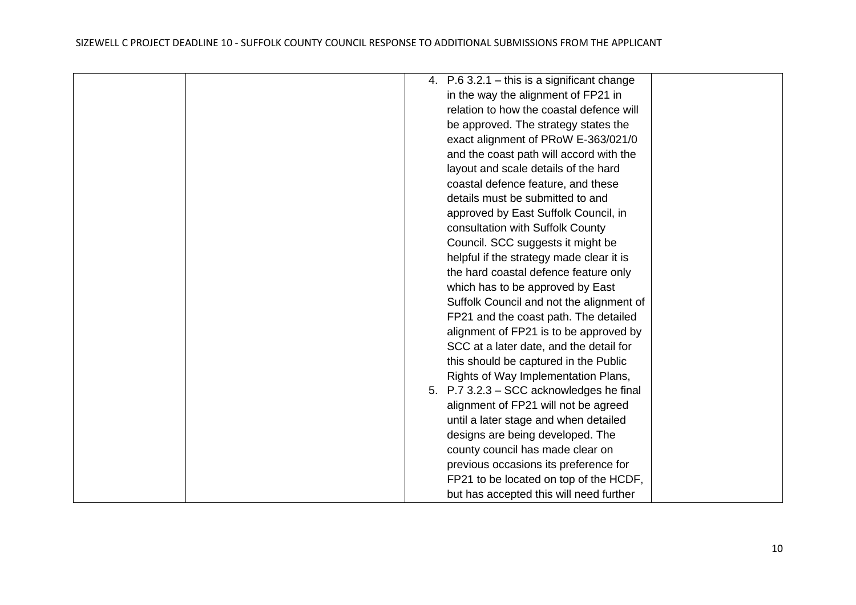|  | 4. $P.63.2.1 - this$ is a significant change |  |
|--|----------------------------------------------|--|
|  | in the way the alignment of FP21 in          |  |
|  | relation to how the coastal defence will     |  |
|  | be approved. The strategy states the         |  |
|  | exact alignment of PRoW E-363/021/0          |  |
|  | and the coast path will accord with the      |  |
|  | layout and scale details of the hard         |  |
|  | coastal defence feature, and these           |  |
|  | details must be submitted to and             |  |
|  | approved by East Suffolk Council, in         |  |
|  | consultation with Suffolk County             |  |
|  | Council. SCC suggests it might be            |  |
|  | helpful if the strategy made clear it is     |  |
|  | the hard coastal defence feature only        |  |
|  | which has to be approved by East             |  |
|  | Suffolk Council and not the alignment of     |  |
|  | FP21 and the coast path. The detailed        |  |
|  | alignment of FP21 is to be approved by       |  |
|  | SCC at a later date, and the detail for      |  |
|  | this should be captured in the Public        |  |
|  | Rights of Way Implementation Plans,          |  |
|  | 5. P.7 3.2.3 - SCC acknowledges he final     |  |
|  | alignment of FP21 will not be agreed         |  |
|  | until a later stage and when detailed        |  |
|  | designs are being developed. The             |  |
|  | county council has made clear on             |  |
|  | previous occasions its preference for        |  |
|  | FP21 to be located on top of the HCDF,       |  |
|  | but has accepted this will need further      |  |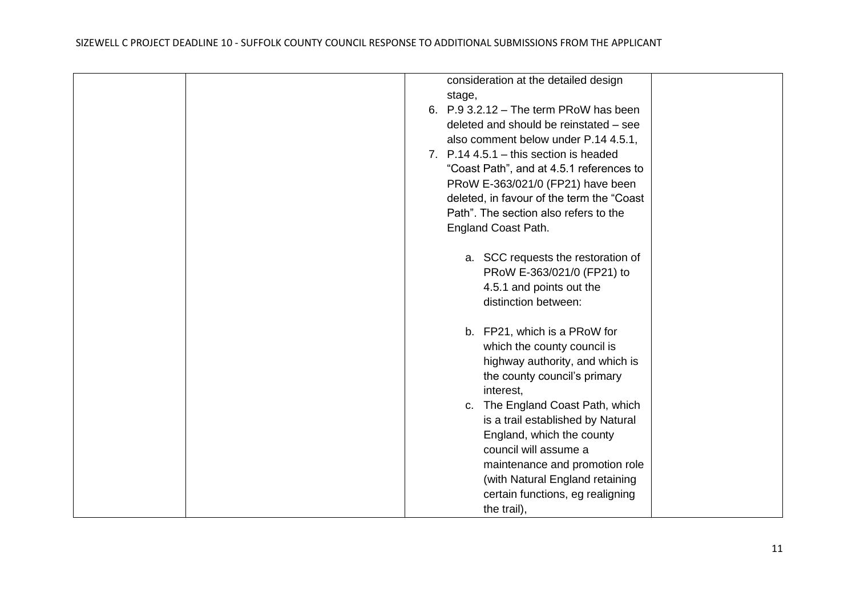| consideration at the detailed design<br>stage,<br>6. $P.93.2.12 - The term PROW has been$<br>deleted and should be reinstated - see<br>also comment below under P.14 4.5.1,<br>7. $P.144.5.1 - this section is headed$<br>"Coast Path", and at 4.5.1 references to |
|--------------------------------------------------------------------------------------------------------------------------------------------------------------------------------------------------------------------------------------------------------------------|
| PRoW E-363/021/0 (FP21) have been<br>deleted, in favour of the term the "Coast<br>Path". The section also refers to the<br>England Coast Path.                                                                                                                     |
| a. SCC requests the restoration of<br>PRoW E-363/021/0 (FP21) to<br>4.5.1 and points out the<br>distinction between:                                                                                                                                               |
| b. FP21, which is a PRoW for<br>which the county council is<br>highway authority, and which is<br>the county council's primary<br>interest,                                                                                                                        |
| c. The England Coast Path, which<br>is a trail established by Natural<br>England, which the county<br>council will assume a<br>maintenance and promotion role<br>(with Natural England retaining<br>certain functions, eg realigning<br>the trail),                |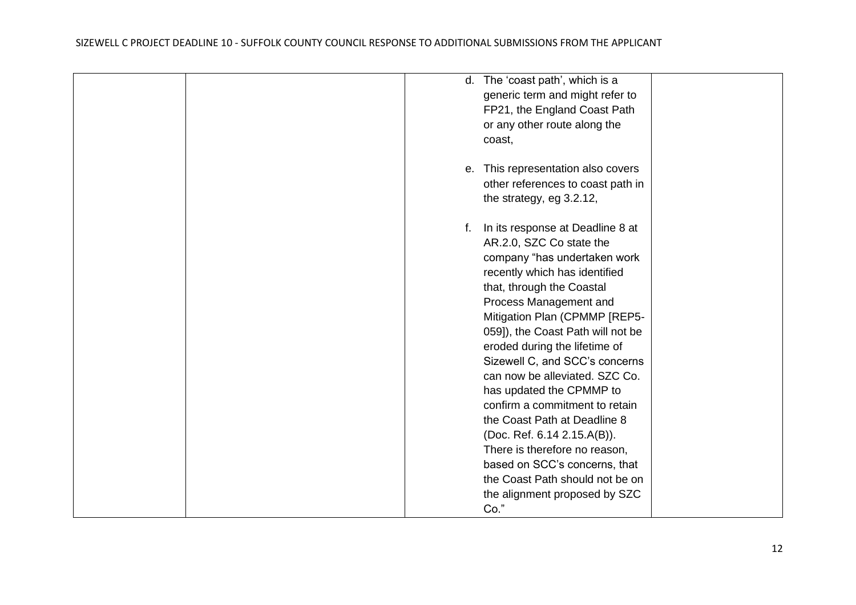| coast,                                                                                                                                                                                                                                                                                                                                                                                                                                                                                                                                                                                                                                        |  |
|-----------------------------------------------------------------------------------------------------------------------------------------------------------------------------------------------------------------------------------------------------------------------------------------------------------------------------------------------------------------------------------------------------------------------------------------------------------------------------------------------------------------------------------------------------------------------------------------------------------------------------------------------|--|
| e. This representation also covers<br>other references to coast path in<br>the strategy, eg 3.2.12,                                                                                                                                                                                                                                                                                                                                                                                                                                                                                                                                           |  |
| f. In its response at Deadline 8 at<br>AR.2.0, SZC Co state the<br>company "has undertaken work<br>recently which has identified<br>that, through the Coastal<br>Process Management and<br>Mitigation Plan (CPMMP [REP5-<br>059]), the Coast Path will not be<br>eroded during the lifetime of<br>Sizewell C, and SCC's concerns<br>can now be alleviated. SZC Co.<br>has updated the CPMMP to<br>confirm a commitment to retain<br>the Coast Path at Deadline 8<br>(Doc. Ref. 6.14 2.15.A(B)).<br>There is therefore no reason,<br>based on SCC's concerns, that<br>the Coast Path should not be on<br>the alignment proposed by SZC<br>Co." |  |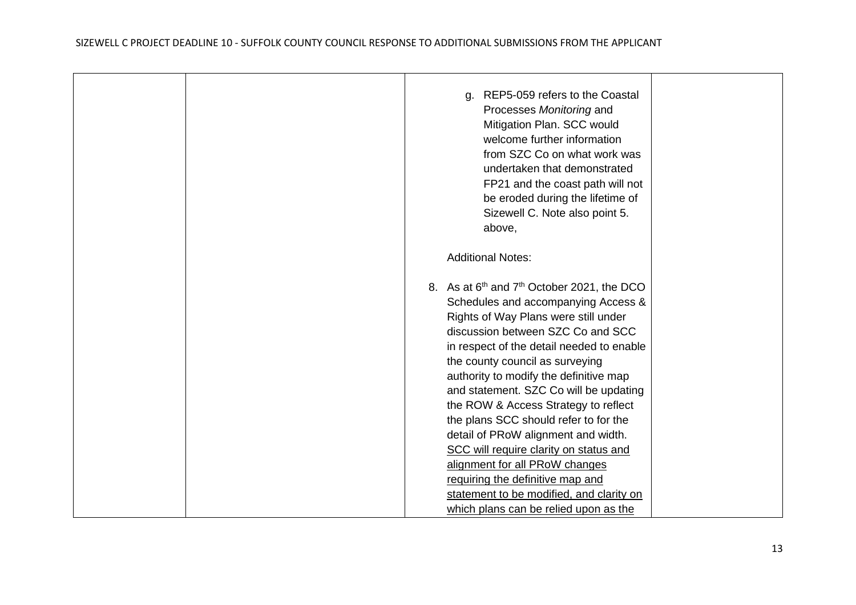|  | REP5-059 refers to the Coastal<br>a.<br>Processes Monitoring and<br>Mitigation Plan. SCC would<br>welcome further information<br>from SZC Co on what work was<br>undertaken that demonstrated<br>FP21 and the coast path will not<br>be eroded during the lifetime of<br>Sizewell C. Note also point 5.<br>above,                                                                                                                                                                                                                                                                                                                                                                       |  |
|--|-----------------------------------------------------------------------------------------------------------------------------------------------------------------------------------------------------------------------------------------------------------------------------------------------------------------------------------------------------------------------------------------------------------------------------------------------------------------------------------------------------------------------------------------------------------------------------------------------------------------------------------------------------------------------------------------|--|
|  | <b>Additional Notes:</b>                                                                                                                                                                                                                                                                                                                                                                                                                                                                                                                                                                                                                                                                |  |
|  | 8. As at 6 <sup>th</sup> and 7 <sup>th</sup> October 2021, the DCO<br>Schedules and accompanying Access &<br>Rights of Way Plans were still under<br>discussion between SZC Co and SCC<br>in respect of the detail needed to enable<br>the county council as surveying<br>authority to modify the definitive map<br>and statement. SZC Co will be updating<br>the ROW & Access Strategy to reflect<br>the plans SCC should refer to for the<br>detail of PRoW alignment and width.<br>SCC will require clarity on status and<br>alignment for all PRoW changes<br>requiring the definitive map and<br>statement to be modified, and clarity on<br>which plans can be relied upon as the |  |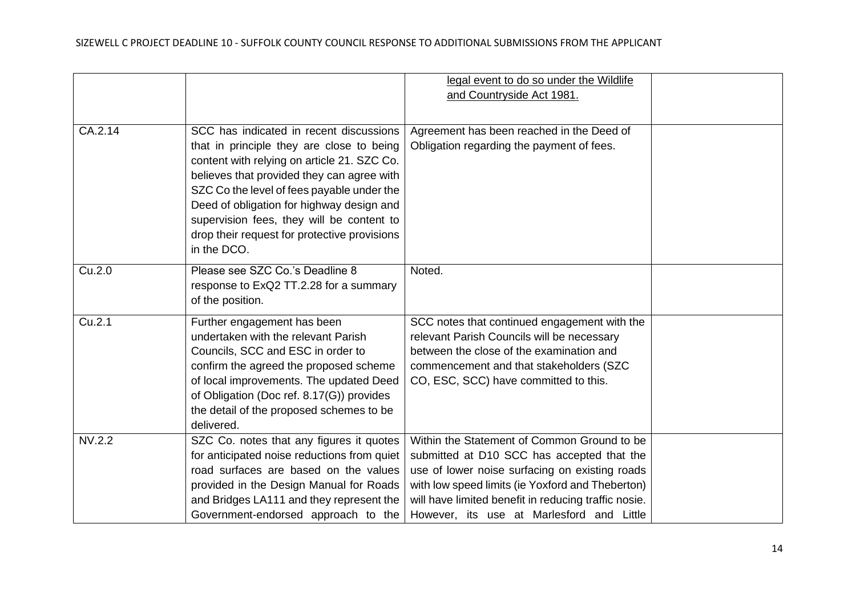|         |                                                                                                                                                                                                                                                                                                                                                                                          | legal event to do so under the Wildlife<br>and Countryside Act 1981.                                                                                                                                                                                                                                 |  |
|---------|------------------------------------------------------------------------------------------------------------------------------------------------------------------------------------------------------------------------------------------------------------------------------------------------------------------------------------------------------------------------------------------|------------------------------------------------------------------------------------------------------------------------------------------------------------------------------------------------------------------------------------------------------------------------------------------------------|--|
| CA.2.14 | SCC has indicated in recent discussions<br>that in principle they are close to being<br>content with relying on article 21. SZC Co.<br>believes that provided they can agree with<br>SZC Co the level of fees payable under the<br>Deed of obligation for highway design and<br>supervision fees, they will be content to<br>drop their request for protective provisions<br>in the DCO. | Agreement has been reached in the Deed of<br>Obligation regarding the payment of fees.                                                                                                                                                                                                               |  |
| Cu.2.0  | Please see SZC Co.'s Deadline 8<br>response to ExQ2 TT.2.28 for a summary<br>of the position.                                                                                                                                                                                                                                                                                            | Noted.                                                                                                                                                                                                                                                                                               |  |
| Cu.2.1  | Further engagement has been<br>undertaken with the relevant Parish<br>Councils, SCC and ESC in order to<br>confirm the agreed the proposed scheme<br>of local improvements. The updated Deed<br>of Obligation (Doc ref. 8.17(G)) provides<br>the detail of the proposed schemes to be<br>delivered.                                                                                      | SCC notes that continued engagement with the<br>relevant Parish Councils will be necessary<br>between the close of the examination and<br>commencement and that stakeholders (SZC<br>CO, ESC, SCC) have committed to this.                                                                           |  |
| NV.2.2  | SZC Co. notes that any figures it quotes<br>for anticipated noise reductions from quiet<br>road surfaces are based on the values<br>provided in the Design Manual for Roads<br>and Bridges LA111 and they represent the<br>Government-endorsed approach to the                                                                                                                           | Within the Statement of Common Ground to be<br>submitted at D10 SCC has accepted that the<br>use of lower noise surfacing on existing roads<br>with low speed limits (ie Yoxford and Theberton)<br>will have limited benefit in reducing traffic nosie.<br>However, its use at Marlesford and Little |  |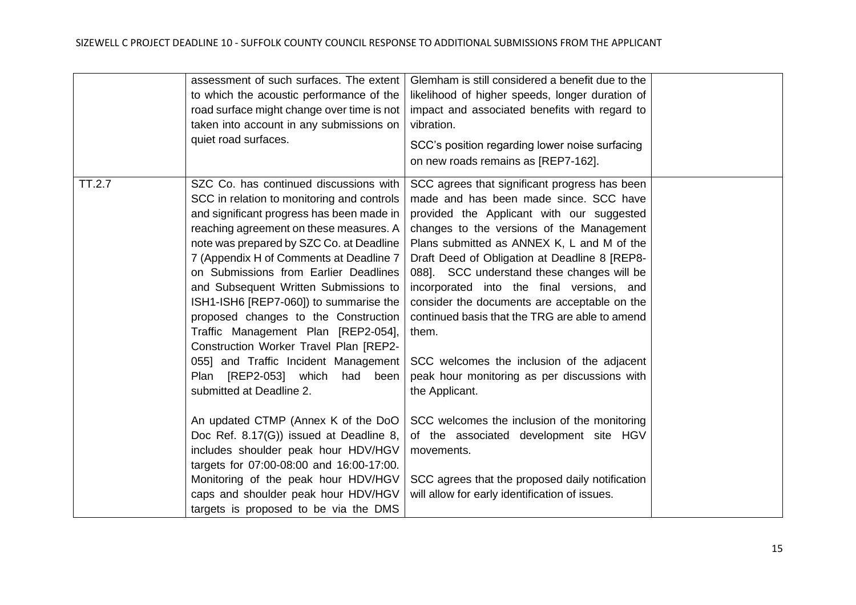|        | assessment of such surfaces. The extent  <br>to which the acoustic performance of the<br>road surface might change over time is not<br>taken into account in any submissions on<br>quiet road surfaces.                                                                                                                                                                                                                                                                                                                                                                                                                                                                                                                                                                                                                                          | Glemham is still considered a benefit due to the<br>likelihood of higher speeds, longer duration of<br>impact and associated benefits with regard to<br>vibration.<br>SCC's position regarding lower noise surfacing<br>on new roads remains as [REP7-162].                                                                                                                                                                                                                                                                                                                                                                                                                                                                                                       |  |
|--------|--------------------------------------------------------------------------------------------------------------------------------------------------------------------------------------------------------------------------------------------------------------------------------------------------------------------------------------------------------------------------------------------------------------------------------------------------------------------------------------------------------------------------------------------------------------------------------------------------------------------------------------------------------------------------------------------------------------------------------------------------------------------------------------------------------------------------------------------------|-------------------------------------------------------------------------------------------------------------------------------------------------------------------------------------------------------------------------------------------------------------------------------------------------------------------------------------------------------------------------------------------------------------------------------------------------------------------------------------------------------------------------------------------------------------------------------------------------------------------------------------------------------------------------------------------------------------------------------------------------------------------|--|
| TT.2.7 | SZC Co. has continued discussions with<br>SCC in relation to monitoring and controls<br>and significant progress has been made in<br>reaching agreement on these measures. A<br>note was prepared by SZC Co. at Deadline<br>7 (Appendix H of Comments at Deadline 7<br>on Submissions from Earlier Deadlines<br>and Subsequent Written Submissions to<br>ISH1-ISH6 [REP7-060]) to summarise the<br>proposed changes to the Construction<br>Traffic Management Plan [REP2-054],<br>Construction Worker Travel Plan [REP2-<br>055] and Traffic Incident Management<br>Plan [REP2-053] which<br>had<br>been<br>submitted at Deadline 2.<br>An updated CTMP (Annex K of the DoO<br>Doc Ref. 8.17(G)) issued at Deadline 8,<br>includes shoulder peak hour HDV/HGV<br>targets for 07:00-08:00 and 16:00-17:00.<br>Monitoring of the peak hour HDV/HGV | SCC agrees that significant progress has been<br>made and has been made since. SCC have<br>provided the Applicant with our suggested<br>changes to the versions of the Management<br>Plans submitted as ANNEX K, L and M of the<br>Draft Deed of Obligation at Deadline 8 [REP8-<br>088]. SCC understand these changes will be<br>incorporated into the final versions, and<br>consider the documents are acceptable on the<br>continued basis that the TRG are able to amend<br>them.<br>SCC welcomes the inclusion of the adjacent<br>peak hour monitoring as per discussions with<br>the Applicant.<br>SCC welcomes the inclusion of the monitoring<br>of the associated development site HGV<br>movements.<br>SCC agrees that the proposed daily notification |  |
|        | caps and shoulder peak hour HDV/HGV<br>targets is proposed to be via the DMS                                                                                                                                                                                                                                                                                                                                                                                                                                                                                                                                                                                                                                                                                                                                                                     | will allow for early identification of issues.                                                                                                                                                                                                                                                                                                                                                                                                                                                                                                                                                                                                                                                                                                                    |  |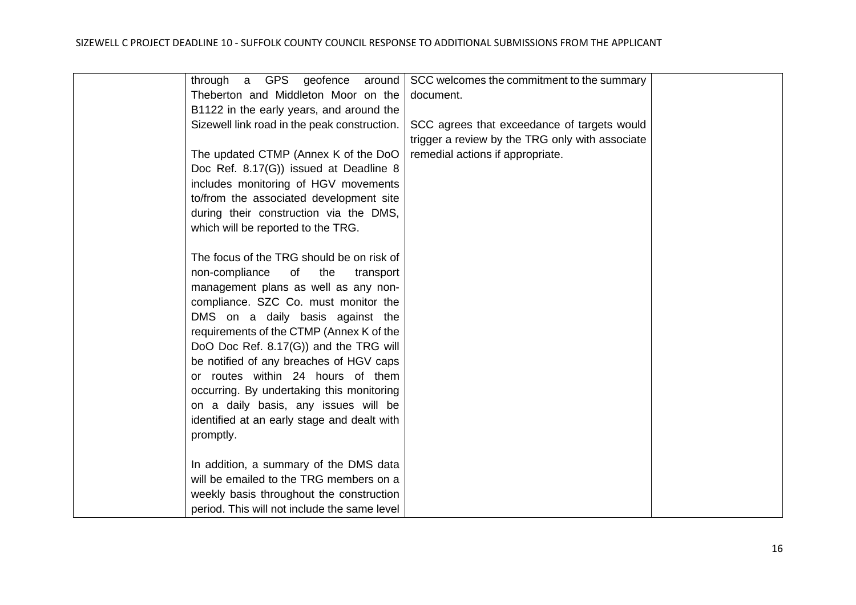| through a GPS geofence<br>around             | SCC welcomes the commitment to the summary      |  |
|----------------------------------------------|-------------------------------------------------|--|
| Theberton and Middleton Moor on the          | document.                                       |  |
| B1122 in the early years, and around the     |                                                 |  |
| Sizewell link road in the peak construction. | SCC agrees that exceedance of targets would     |  |
|                                              | trigger a review by the TRG only with associate |  |
| The updated CTMP (Annex K of the DoO         | remedial actions if appropriate.                |  |
| Doc Ref. 8.17(G)) issued at Deadline 8       |                                                 |  |
| includes monitoring of HGV movements         |                                                 |  |
| to/from the associated development site      |                                                 |  |
| during their construction via the DMS,       |                                                 |  |
| which will be reported to the TRG.           |                                                 |  |
|                                              |                                                 |  |
| The focus of the TRG should be on risk of    |                                                 |  |
| non-compliance<br>of<br>the<br>transport     |                                                 |  |
| management plans as well as any non-         |                                                 |  |
| compliance. SZC Co. must monitor the         |                                                 |  |
| DMS on a daily basis against the             |                                                 |  |
| requirements of the CTMP (Annex K of the     |                                                 |  |
| DoO Doc Ref. 8.17(G)) and the TRG will       |                                                 |  |
| be notified of any breaches of HGV caps      |                                                 |  |
| or routes within 24 hours of them            |                                                 |  |
| occurring. By undertaking this monitoring    |                                                 |  |
| on a daily basis, any issues will be         |                                                 |  |
| identified at an early stage and dealt with  |                                                 |  |
| promptly.                                    |                                                 |  |
|                                              |                                                 |  |
| In addition, a summary of the DMS data       |                                                 |  |
| will be emailed to the TRG members on a      |                                                 |  |
| weekly basis throughout the construction     |                                                 |  |
| period. This will not include the same level |                                                 |  |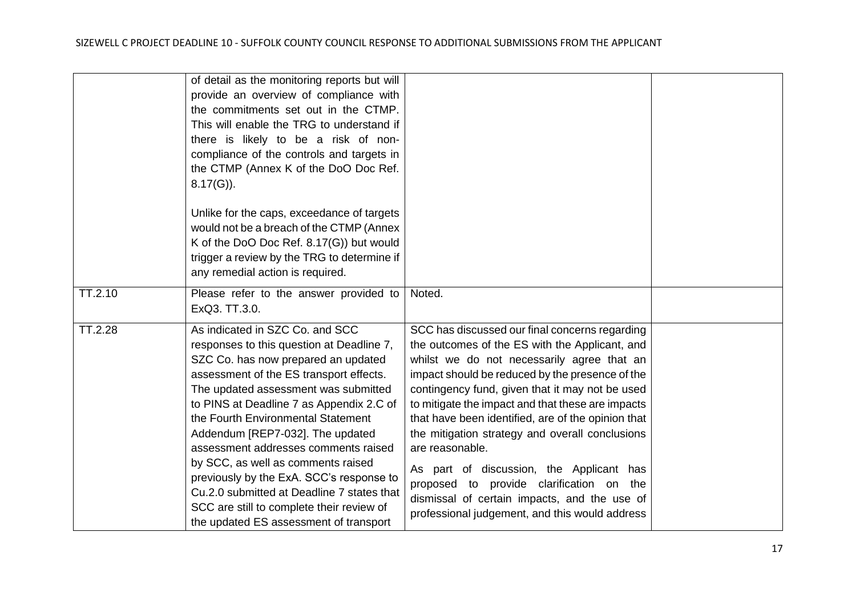|         | of detail as the monitoring reports but will<br>provide an overview of compliance with<br>the commitments set out in the CTMP.<br>This will enable the TRG to understand if<br>there is likely to be a risk of non-<br>compliance of the controls and targets in<br>the CTMP (Annex K of the DoO Doc Ref.<br>$8.17(G)$ ).                                                                                                                                                                                                                                                                   |                                                                                                                                                                                                                                                                                                                                                                                                                                                                                                                                                                                                                                 |  |
|---------|---------------------------------------------------------------------------------------------------------------------------------------------------------------------------------------------------------------------------------------------------------------------------------------------------------------------------------------------------------------------------------------------------------------------------------------------------------------------------------------------------------------------------------------------------------------------------------------------|---------------------------------------------------------------------------------------------------------------------------------------------------------------------------------------------------------------------------------------------------------------------------------------------------------------------------------------------------------------------------------------------------------------------------------------------------------------------------------------------------------------------------------------------------------------------------------------------------------------------------------|--|
|         | Unlike for the caps, exceedance of targets<br>would not be a breach of the CTMP (Annex<br>K of the DoO Doc Ref. 8.17(G)) but would<br>trigger a review by the TRG to determine if<br>any remedial action is required.                                                                                                                                                                                                                                                                                                                                                                       |                                                                                                                                                                                                                                                                                                                                                                                                                                                                                                                                                                                                                                 |  |
| TT.2.10 | Please refer to the answer provided to<br>ExQ3. TT.3.0.                                                                                                                                                                                                                                                                                                                                                                                                                                                                                                                                     | Noted.                                                                                                                                                                                                                                                                                                                                                                                                                                                                                                                                                                                                                          |  |
| TT.2.28 | As indicated in SZC Co. and SCC<br>responses to this question at Deadline 7,<br>SZC Co. has now prepared an updated<br>assessment of the ES transport effects.<br>The updated assessment was submitted<br>to PINS at Deadline 7 as Appendix 2.C of<br>the Fourth Environmental Statement<br>Addendum [REP7-032]. The updated<br>assessment addresses comments raised<br>by SCC, as well as comments raised<br>previously by the ExA. SCC's response to<br>Cu.2.0 submitted at Deadline 7 states that<br>SCC are still to complete their review of<br>the updated ES assessment of transport | SCC has discussed our final concerns regarding<br>the outcomes of the ES with the Applicant, and<br>whilst we do not necessarily agree that an<br>impact should be reduced by the presence of the<br>contingency fund, given that it may not be used<br>to mitigate the impact and that these are impacts<br>that have been identified, are of the opinion that<br>the mitigation strategy and overall conclusions<br>are reasonable.<br>As part of discussion, the Applicant has<br>proposed to provide clarification on the<br>dismissal of certain impacts, and the use of<br>professional judgement, and this would address |  |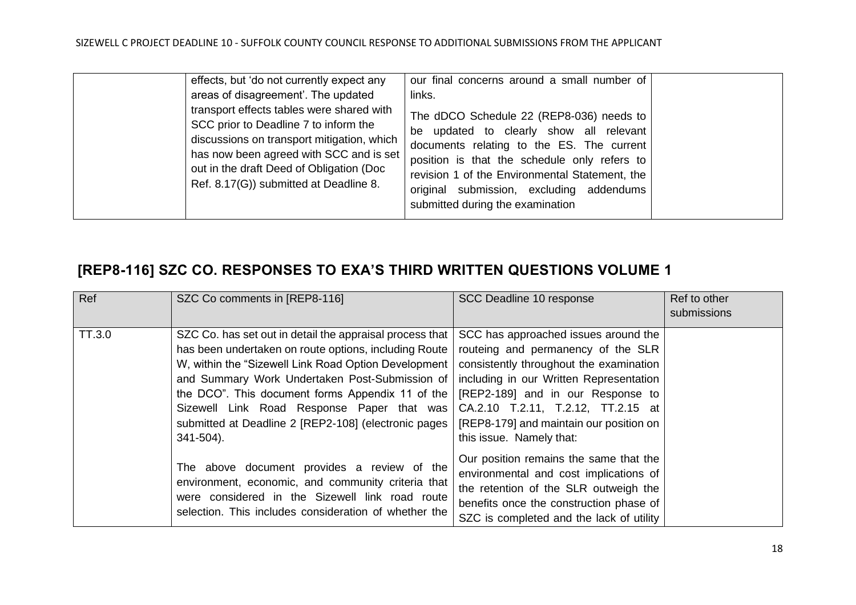| effects, but 'do not currently expect any                                                                                                                                                                                                                         | our final concerns around a small number of                                                                                                                                                                                                                                                                        |  |
|-------------------------------------------------------------------------------------------------------------------------------------------------------------------------------------------------------------------------------------------------------------------|--------------------------------------------------------------------------------------------------------------------------------------------------------------------------------------------------------------------------------------------------------------------------------------------------------------------|--|
| areas of disagreement'. The updated                                                                                                                                                                                                                               | links.                                                                                                                                                                                                                                                                                                             |  |
| transport effects tables were shared with<br>SCC prior to Deadline 7 to inform the<br>discussions on transport mitigation, which<br>has now been agreed with SCC and is set<br>out in the draft Deed of Obligation (Doc<br>Ref. 8.17(G)) submitted at Deadline 8. | The dDCO Schedule 22 (REP8-036) needs to<br>be updated to clearly show all relevant<br>documents relating to the ES. The current<br>position is that the schedule only refers to<br>revision 1 of the Environmental Statement, the<br>original submission, excluding addendums<br>submitted during the examination |  |

# <span id="page-17-0"></span>**[REP8-116] SZC CO. RESPONSES TO EXA'S THIRD WRITTEN QUESTIONS VOLUME 1**

| Ref    | SZC Co comments in [REP8-116]                                                                                                                                                                                                                                                                                                                                                                       | SCC Deadline 10 response                                                                                                                                                                                                                                                                                           | Ref to other<br>submissions |
|--------|-----------------------------------------------------------------------------------------------------------------------------------------------------------------------------------------------------------------------------------------------------------------------------------------------------------------------------------------------------------------------------------------------------|--------------------------------------------------------------------------------------------------------------------------------------------------------------------------------------------------------------------------------------------------------------------------------------------------------------------|-----------------------------|
| TT.3.0 | SZC Co. has set out in detail the appraisal process that<br>has been undertaken on route options, including Route<br>W, within the "Sizewell Link Road Option Development"<br>and Summary Work Undertaken Post-Submission of<br>the DCO". This document forms Appendix 11 of the<br>Sizewell Link Road Response Paper that was<br>submitted at Deadline 2 [REP2-108] (electronic pages<br>341-504). | SCC has approached issues around the<br>routeing and permanency of the SLR<br>consistently throughout the examination<br>including in our Written Representation<br>[REP2-189] and in our Response to<br>CA.2.10 T.2.11, T.2.12, TT.2.15 at<br>[REP8-179] and maintain our position on<br>this issue. Namely that: |                             |
|        | The above document provides a review of the<br>environment, economic, and community criteria that<br>were considered in the Sizewell link road route<br>selection. This includes consideration of whether the                                                                                                                                                                                       | Our position remains the same that the<br>environmental and cost implications of<br>the retention of the SLR outweigh the<br>benefits once the construction phase of<br>SZC is completed and the lack of utility                                                                                                   |                             |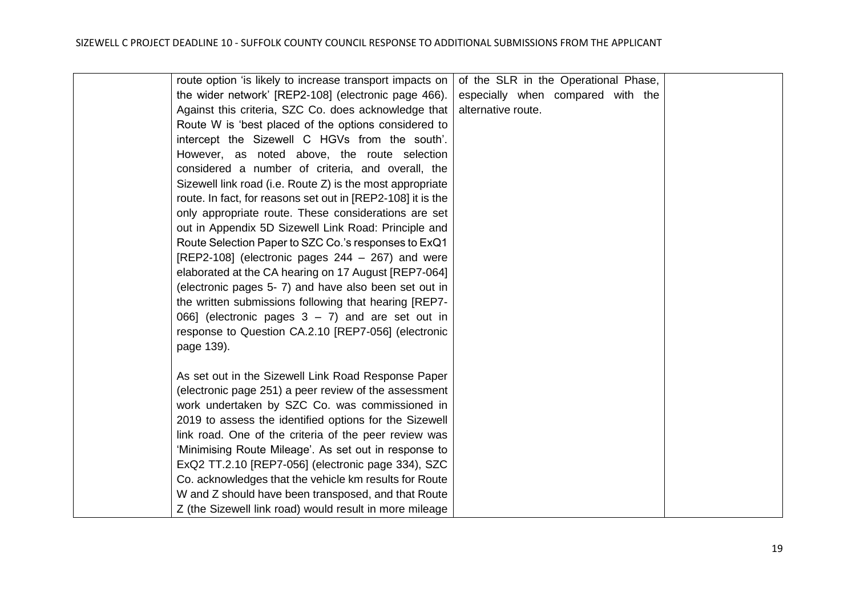| route option 'is likely to increase transport impacts on    | of the SLR in the Operational Phase, |  |  |  |
|-------------------------------------------------------------|--------------------------------------|--|--|--|
| the wider network' [REP2-108] (electronic page 466).        | especially when compared with the    |  |  |  |
| Against this criteria, SZC Co. does acknowledge that        | alternative route.                   |  |  |  |
| Route W is 'best placed of the options considered to        |                                      |  |  |  |
| intercept the Sizewell C HGVs from the south'.              |                                      |  |  |  |
| However, as noted above, the route selection                |                                      |  |  |  |
| considered a number of criteria, and overall, the           |                                      |  |  |  |
| Sizewell link road (i.e. Route Z) is the most appropriate   |                                      |  |  |  |
| route. In fact, for reasons set out in [REP2-108] it is the |                                      |  |  |  |
| only appropriate route. These considerations are set        |                                      |  |  |  |
| out in Appendix 5D Sizewell Link Road: Principle and        |                                      |  |  |  |
| Route Selection Paper to SZC Co.'s responses to ExQ1        |                                      |  |  |  |
| [REP2-108] (electronic pages $244 - 267$ ) and were         |                                      |  |  |  |
| elaborated at the CA hearing on 17 August [REP7-064]        |                                      |  |  |  |
| (electronic pages 5-7) and have also been set out in        |                                      |  |  |  |
| the written submissions following that hearing [REP7-       |                                      |  |  |  |
| 066] (electronic pages $3 - 7$ ) and are set out in         |                                      |  |  |  |
| response to Question CA.2.10 [REP7-056] (electronic         |                                      |  |  |  |
| page 139).                                                  |                                      |  |  |  |
|                                                             |                                      |  |  |  |
| As set out in the Sizewell Link Road Response Paper         |                                      |  |  |  |
| (electronic page 251) a peer review of the assessment       |                                      |  |  |  |
| work undertaken by SZC Co. was commissioned in              |                                      |  |  |  |
| 2019 to assess the identified options for the Sizewell      |                                      |  |  |  |
| link road. One of the criteria of the peer review was       |                                      |  |  |  |
| 'Minimising Route Mileage'. As set out in response to       |                                      |  |  |  |
| ExQ2 TT.2.10 [REP7-056] (electronic page 334), SZC          |                                      |  |  |  |
| Co. acknowledges that the vehicle km results for Route      |                                      |  |  |  |
| W and Z should have been transposed, and that Route         |                                      |  |  |  |
| Z (the Sizewell link road) would result in more mileage     |                                      |  |  |  |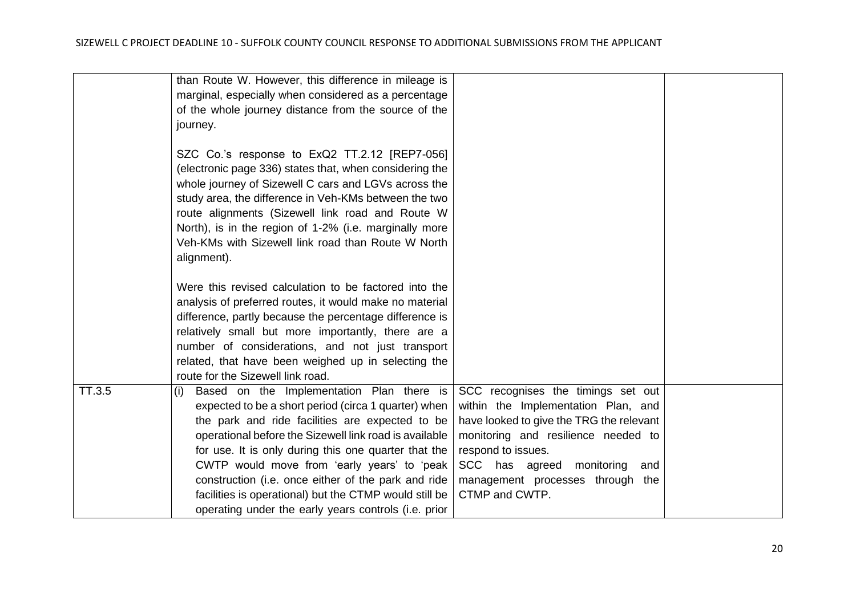|        | than Route W. However, this difference in mileage is<br>marginal, especially when considered as a percentage<br>of the whole journey distance from the source of the                                                                                                                                                                                                                                                                                                                                  |                                                                                                                                                                                                                                                                                 |  |
|--------|-------------------------------------------------------------------------------------------------------------------------------------------------------------------------------------------------------------------------------------------------------------------------------------------------------------------------------------------------------------------------------------------------------------------------------------------------------------------------------------------------------|---------------------------------------------------------------------------------------------------------------------------------------------------------------------------------------------------------------------------------------------------------------------------------|--|
|        | journey.<br>SZC Co.'s response to ExQ2 TT.2.12 [REP7-056]<br>(electronic page 336) states that, when considering the<br>whole journey of Sizewell C cars and LGVs across the<br>study area, the difference in Veh-KMs between the two<br>route alignments (Sizewell link road and Route W<br>North), is in the region of 1-2% (i.e. marginally more<br>Veh-KMs with Sizewell link road than Route W North<br>alignment).                                                                              |                                                                                                                                                                                                                                                                                 |  |
|        | Were this revised calculation to be factored into the<br>analysis of preferred routes, it would make no material<br>difference, partly because the percentage difference is<br>relatively small but more importantly, there are a<br>number of considerations, and not just transport<br>related, that have been weighed up in selecting the<br>route for the Sizewell link road.                                                                                                                     |                                                                                                                                                                                                                                                                                 |  |
| TT.3.5 | Based on the Implementation Plan there is<br>(i)<br>expected to be a short period (circa 1 quarter) when<br>the park and ride facilities are expected to be<br>operational before the Sizewell link road is available<br>for use. It is only during this one quarter that the<br>CWTP would move from 'early years' to 'peak<br>construction (i.e. once either of the park and ride<br>facilities is operational) but the CTMP would still be<br>operating under the early years controls (i.e. prior | SCC recognises the timings set out<br>within the Implementation Plan, and<br>have looked to give the TRG the relevant<br>monitoring and resilience needed to<br>respond to issues.<br>SCC has agreed<br>monitoring<br>and<br>management processes through the<br>CTMP and CWTP. |  |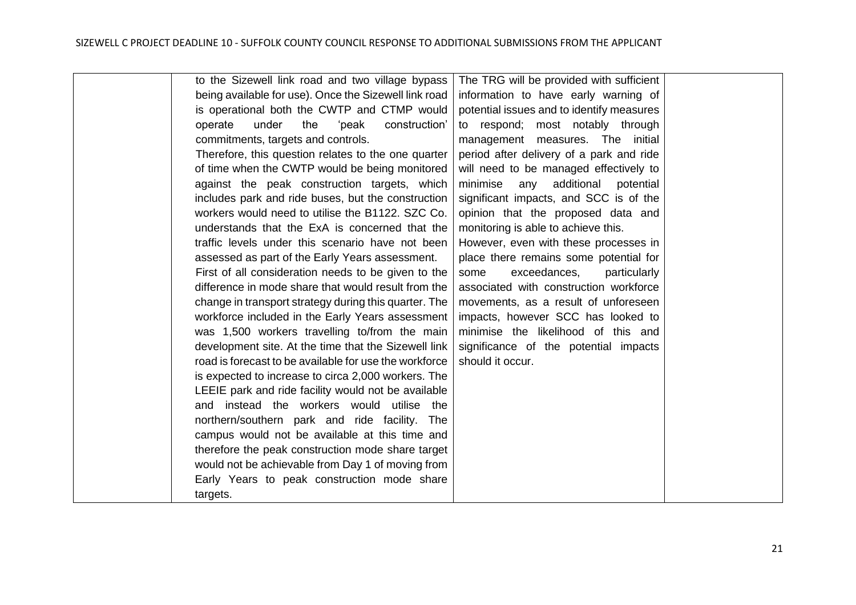| to the Sizewell link road and two village bypass<br>The TRG will be provided with sufficient<br>being available for use). Once the Sizewell link road<br>information to have early warning of<br>is operational both the CWTP and CTMP would<br>potential issues and to identify measures<br>under<br>'peak<br>operate<br>the<br>construction'<br>to respond; most notably through<br>commitments, targets and controls.<br>management measures. The initial<br>Therefore, this question relates to the one quarter<br>period after delivery of a park and ride<br>of time when the CWTP would be being monitored<br>will need to be managed effectively to<br>against the peak construction targets, which<br>minimise<br>any<br>additional<br>potential<br>includes park and ride buses, but the construction<br>significant impacts, and SCC is of the<br>workers would need to utilise the B1122. SZC Co.<br>opinion that the proposed data and<br>monitoring is able to achieve this.<br>understands that the ExA is concerned that the<br>traffic levels under this scenario have not been<br>However, even with these processes in<br>assessed as part of the Early Years assessment.<br>place there remains some potential for<br>First of all consideration needs to be given to the<br>exceedances,<br>particularly<br>some<br>difference in mode share that would result from the<br>associated with construction workforce<br>change in transport strategy during this quarter. The<br>movements, as a result of unforeseen<br>workforce included in the Early Years assessment<br>impacts, however SCC has looked to<br>was 1,500 workers travelling to/from the main<br>minimise the likelihood of this and<br>development site. At the time that the Sizewell link<br>significance of the potential impacts<br>road is forecast to be available for use the workforce<br>should it occur.<br>is expected to increase to circa 2,000 workers. The<br>LEEIE park and ride facility would not be available<br>and instead the workers would utilise the<br>northern/southern park and ride facility. The<br>campus would not be available at this time and<br>therefore the peak construction mode share target<br>would not be achievable from Day 1 of moving from<br>Early Years to peak construction mode share<br>targets. |  |  |
|---------------------------------------------------------------------------------------------------------------------------------------------------------------------------------------------------------------------------------------------------------------------------------------------------------------------------------------------------------------------------------------------------------------------------------------------------------------------------------------------------------------------------------------------------------------------------------------------------------------------------------------------------------------------------------------------------------------------------------------------------------------------------------------------------------------------------------------------------------------------------------------------------------------------------------------------------------------------------------------------------------------------------------------------------------------------------------------------------------------------------------------------------------------------------------------------------------------------------------------------------------------------------------------------------------------------------------------------------------------------------------------------------------------------------------------------------------------------------------------------------------------------------------------------------------------------------------------------------------------------------------------------------------------------------------------------------------------------------------------------------------------------------------------------------------------------------------------------------------------------------------------------------------------------------------------------------------------------------------------------------------------------------------------------------------------------------------------------------------------------------------------------------------------------------------------------------------------------------------------------------------------------------------------------------------------------------------------------|--|--|
|                                                                                                                                                                                                                                                                                                                                                                                                                                                                                                                                                                                                                                                                                                                                                                                                                                                                                                                                                                                                                                                                                                                                                                                                                                                                                                                                                                                                                                                                                                                                                                                                                                                                                                                                                                                                                                                                                                                                                                                                                                                                                                                                                                                                                                                                                                                                             |  |  |
|                                                                                                                                                                                                                                                                                                                                                                                                                                                                                                                                                                                                                                                                                                                                                                                                                                                                                                                                                                                                                                                                                                                                                                                                                                                                                                                                                                                                                                                                                                                                                                                                                                                                                                                                                                                                                                                                                                                                                                                                                                                                                                                                                                                                                                                                                                                                             |  |  |
|                                                                                                                                                                                                                                                                                                                                                                                                                                                                                                                                                                                                                                                                                                                                                                                                                                                                                                                                                                                                                                                                                                                                                                                                                                                                                                                                                                                                                                                                                                                                                                                                                                                                                                                                                                                                                                                                                                                                                                                                                                                                                                                                                                                                                                                                                                                                             |  |  |
|                                                                                                                                                                                                                                                                                                                                                                                                                                                                                                                                                                                                                                                                                                                                                                                                                                                                                                                                                                                                                                                                                                                                                                                                                                                                                                                                                                                                                                                                                                                                                                                                                                                                                                                                                                                                                                                                                                                                                                                                                                                                                                                                                                                                                                                                                                                                             |  |  |
|                                                                                                                                                                                                                                                                                                                                                                                                                                                                                                                                                                                                                                                                                                                                                                                                                                                                                                                                                                                                                                                                                                                                                                                                                                                                                                                                                                                                                                                                                                                                                                                                                                                                                                                                                                                                                                                                                                                                                                                                                                                                                                                                                                                                                                                                                                                                             |  |  |
|                                                                                                                                                                                                                                                                                                                                                                                                                                                                                                                                                                                                                                                                                                                                                                                                                                                                                                                                                                                                                                                                                                                                                                                                                                                                                                                                                                                                                                                                                                                                                                                                                                                                                                                                                                                                                                                                                                                                                                                                                                                                                                                                                                                                                                                                                                                                             |  |  |
|                                                                                                                                                                                                                                                                                                                                                                                                                                                                                                                                                                                                                                                                                                                                                                                                                                                                                                                                                                                                                                                                                                                                                                                                                                                                                                                                                                                                                                                                                                                                                                                                                                                                                                                                                                                                                                                                                                                                                                                                                                                                                                                                                                                                                                                                                                                                             |  |  |
|                                                                                                                                                                                                                                                                                                                                                                                                                                                                                                                                                                                                                                                                                                                                                                                                                                                                                                                                                                                                                                                                                                                                                                                                                                                                                                                                                                                                                                                                                                                                                                                                                                                                                                                                                                                                                                                                                                                                                                                                                                                                                                                                                                                                                                                                                                                                             |  |  |
|                                                                                                                                                                                                                                                                                                                                                                                                                                                                                                                                                                                                                                                                                                                                                                                                                                                                                                                                                                                                                                                                                                                                                                                                                                                                                                                                                                                                                                                                                                                                                                                                                                                                                                                                                                                                                                                                                                                                                                                                                                                                                                                                                                                                                                                                                                                                             |  |  |
|                                                                                                                                                                                                                                                                                                                                                                                                                                                                                                                                                                                                                                                                                                                                                                                                                                                                                                                                                                                                                                                                                                                                                                                                                                                                                                                                                                                                                                                                                                                                                                                                                                                                                                                                                                                                                                                                                                                                                                                                                                                                                                                                                                                                                                                                                                                                             |  |  |
|                                                                                                                                                                                                                                                                                                                                                                                                                                                                                                                                                                                                                                                                                                                                                                                                                                                                                                                                                                                                                                                                                                                                                                                                                                                                                                                                                                                                                                                                                                                                                                                                                                                                                                                                                                                                                                                                                                                                                                                                                                                                                                                                                                                                                                                                                                                                             |  |  |
|                                                                                                                                                                                                                                                                                                                                                                                                                                                                                                                                                                                                                                                                                                                                                                                                                                                                                                                                                                                                                                                                                                                                                                                                                                                                                                                                                                                                                                                                                                                                                                                                                                                                                                                                                                                                                                                                                                                                                                                                                                                                                                                                                                                                                                                                                                                                             |  |  |
|                                                                                                                                                                                                                                                                                                                                                                                                                                                                                                                                                                                                                                                                                                                                                                                                                                                                                                                                                                                                                                                                                                                                                                                                                                                                                                                                                                                                                                                                                                                                                                                                                                                                                                                                                                                                                                                                                                                                                                                                                                                                                                                                                                                                                                                                                                                                             |  |  |
|                                                                                                                                                                                                                                                                                                                                                                                                                                                                                                                                                                                                                                                                                                                                                                                                                                                                                                                                                                                                                                                                                                                                                                                                                                                                                                                                                                                                                                                                                                                                                                                                                                                                                                                                                                                                                                                                                                                                                                                                                                                                                                                                                                                                                                                                                                                                             |  |  |
|                                                                                                                                                                                                                                                                                                                                                                                                                                                                                                                                                                                                                                                                                                                                                                                                                                                                                                                                                                                                                                                                                                                                                                                                                                                                                                                                                                                                                                                                                                                                                                                                                                                                                                                                                                                                                                                                                                                                                                                                                                                                                                                                                                                                                                                                                                                                             |  |  |
|                                                                                                                                                                                                                                                                                                                                                                                                                                                                                                                                                                                                                                                                                                                                                                                                                                                                                                                                                                                                                                                                                                                                                                                                                                                                                                                                                                                                                                                                                                                                                                                                                                                                                                                                                                                                                                                                                                                                                                                                                                                                                                                                                                                                                                                                                                                                             |  |  |
|                                                                                                                                                                                                                                                                                                                                                                                                                                                                                                                                                                                                                                                                                                                                                                                                                                                                                                                                                                                                                                                                                                                                                                                                                                                                                                                                                                                                                                                                                                                                                                                                                                                                                                                                                                                                                                                                                                                                                                                                                                                                                                                                                                                                                                                                                                                                             |  |  |
|                                                                                                                                                                                                                                                                                                                                                                                                                                                                                                                                                                                                                                                                                                                                                                                                                                                                                                                                                                                                                                                                                                                                                                                                                                                                                                                                                                                                                                                                                                                                                                                                                                                                                                                                                                                                                                                                                                                                                                                                                                                                                                                                                                                                                                                                                                                                             |  |  |
|                                                                                                                                                                                                                                                                                                                                                                                                                                                                                                                                                                                                                                                                                                                                                                                                                                                                                                                                                                                                                                                                                                                                                                                                                                                                                                                                                                                                                                                                                                                                                                                                                                                                                                                                                                                                                                                                                                                                                                                                                                                                                                                                                                                                                                                                                                                                             |  |  |
|                                                                                                                                                                                                                                                                                                                                                                                                                                                                                                                                                                                                                                                                                                                                                                                                                                                                                                                                                                                                                                                                                                                                                                                                                                                                                                                                                                                                                                                                                                                                                                                                                                                                                                                                                                                                                                                                                                                                                                                                                                                                                                                                                                                                                                                                                                                                             |  |  |
|                                                                                                                                                                                                                                                                                                                                                                                                                                                                                                                                                                                                                                                                                                                                                                                                                                                                                                                                                                                                                                                                                                                                                                                                                                                                                                                                                                                                                                                                                                                                                                                                                                                                                                                                                                                                                                                                                                                                                                                                                                                                                                                                                                                                                                                                                                                                             |  |  |
|                                                                                                                                                                                                                                                                                                                                                                                                                                                                                                                                                                                                                                                                                                                                                                                                                                                                                                                                                                                                                                                                                                                                                                                                                                                                                                                                                                                                                                                                                                                                                                                                                                                                                                                                                                                                                                                                                                                                                                                                                                                                                                                                                                                                                                                                                                                                             |  |  |
|                                                                                                                                                                                                                                                                                                                                                                                                                                                                                                                                                                                                                                                                                                                                                                                                                                                                                                                                                                                                                                                                                                                                                                                                                                                                                                                                                                                                                                                                                                                                                                                                                                                                                                                                                                                                                                                                                                                                                                                                                                                                                                                                                                                                                                                                                                                                             |  |  |
|                                                                                                                                                                                                                                                                                                                                                                                                                                                                                                                                                                                                                                                                                                                                                                                                                                                                                                                                                                                                                                                                                                                                                                                                                                                                                                                                                                                                                                                                                                                                                                                                                                                                                                                                                                                                                                                                                                                                                                                                                                                                                                                                                                                                                                                                                                                                             |  |  |
|                                                                                                                                                                                                                                                                                                                                                                                                                                                                                                                                                                                                                                                                                                                                                                                                                                                                                                                                                                                                                                                                                                                                                                                                                                                                                                                                                                                                                                                                                                                                                                                                                                                                                                                                                                                                                                                                                                                                                                                                                                                                                                                                                                                                                                                                                                                                             |  |  |
|                                                                                                                                                                                                                                                                                                                                                                                                                                                                                                                                                                                                                                                                                                                                                                                                                                                                                                                                                                                                                                                                                                                                                                                                                                                                                                                                                                                                                                                                                                                                                                                                                                                                                                                                                                                                                                                                                                                                                                                                                                                                                                                                                                                                                                                                                                                                             |  |  |
|                                                                                                                                                                                                                                                                                                                                                                                                                                                                                                                                                                                                                                                                                                                                                                                                                                                                                                                                                                                                                                                                                                                                                                                                                                                                                                                                                                                                                                                                                                                                                                                                                                                                                                                                                                                                                                                                                                                                                                                                                                                                                                                                                                                                                                                                                                                                             |  |  |
|                                                                                                                                                                                                                                                                                                                                                                                                                                                                                                                                                                                                                                                                                                                                                                                                                                                                                                                                                                                                                                                                                                                                                                                                                                                                                                                                                                                                                                                                                                                                                                                                                                                                                                                                                                                                                                                                                                                                                                                                                                                                                                                                                                                                                                                                                                                                             |  |  |
|                                                                                                                                                                                                                                                                                                                                                                                                                                                                                                                                                                                                                                                                                                                                                                                                                                                                                                                                                                                                                                                                                                                                                                                                                                                                                                                                                                                                                                                                                                                                                                                                                                                                                                                                                                                                                                                                                                                                                                                                                                                                                                                                                                                                                                                                                                                                             |  |  |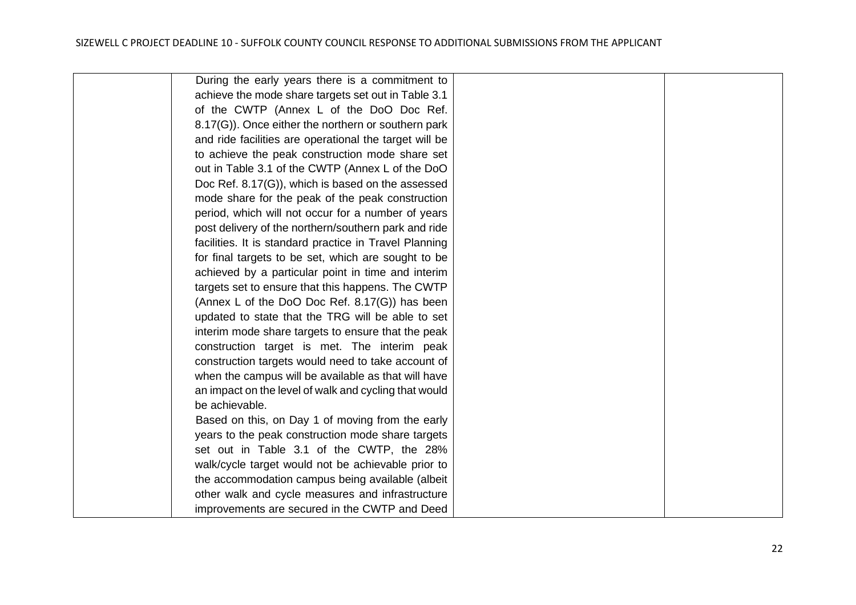| During the early years there is a commitment to        |  |
|--------------------------------------------------------|--|
| achieve the mode share targets set out in Table 3.1    |  |
| of the CWTP (Annex L of the DoO Doc Ref.               |  |
| 8.17(G)). Once either the northern or southern park    |  |
| and ride facilities are operational the target will be |  |
| to achieve the peak construction mode share set        |  |
| out in Table 3.1 of the CWTP (Annex L of the DoO       |  |
| Doc Ref. 8.17(G)), which is based on the assessed      |  |
| mode share for the peak of the peak construction       |  |
| period, which will not occur for a number of years     |  |
| post delivery of the northern/southern park and ride   |  |
| facilities. It is standard practice in Travel Planning |  |
| for final targets to be set, which are sought to be    |  |
| achieved by a particular point in time and interim     |  |
| targets set to ensure that this happens. The CWTP      |  |
| (Annex L of the DoO Doc Ref. 8.17(G)) has been         |  |
| updated to state that the TRG will be able to set      |  |
| interim mode share targets to ensure that the peak     |  |
| construction target is met. The interim peak           |  |
| construction targets would need to take account of     |  |
| when the campus will be available as that will have    |  |
| an impact on the level of walk and cycling that would  |  |
| be achievable.                                         |  |
| Based on this, on Day 1 of moving from the early       |  |
| years to the peak construction mode share targets      |  |
| set out in Table 3.1 of the CWTP, the 28%              |  |
| walk/cycle target would not be achievable prior to     |  |
| the accommodation campus being available (albeit       |  |
| other walk and cycle measures and infrastructure       |  |
| improvements are secured in the CWTP and Deed          |  |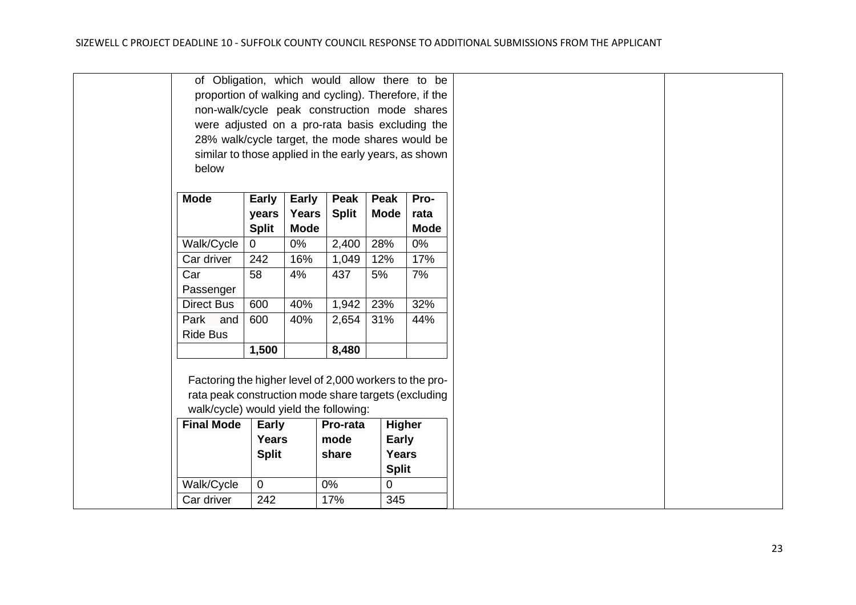|                                                       | of Obligation, which would allow there to be            |                |              |              |              |               |
|-------------------------------------------------------|---------------------------------------------------------|----------------|--------------|--------------|--------------|---------------|
|                                                       | proportion of walking and cycling). Therefore, if the   |                |              |              |              |               |
|                                                       | non-walk/cycle peak construction mode shares            |                |              |              |              |               |
|                                                       | were adjusted on a pro-rata basis excluding the         |                |              |              |              |               |
|                                                       | 28% walk/cycle target, the mode shares would be         |                |              |              |              |               |
| similar to those applied in the early years, as shown |                                                         |                |              |              |              |               |
|                                                       | below                                                   |                |              |              |              |               |
|                                                       |                                                         |                |              |              |              |               |
| <b>Mode</b>                                           |                                                         | <b>Early</b>   | <b>Early</b> | Peak         | <b>Peak</b>  | Pro-          |
|                                                       |                                                         | years          | <b>Years</b> | <b>Split</b> | <b>Mode</b>  | rata          |
|                                                       |                                                         | <b>Split</b>   | <b>Mode</b>  |              |              | <b>Mode</b>   |
|                                                       | Walk/Cycle                                              | $\overline{0}$ | 0%           | 2,400        | 28%          | 0%            |
|                                                       | Car driver                                              | 242            | 16%          | 1,049        | 12%          | 17%           |
| Car                                                   |                                                         | 58             | 4%           | 437          | 5%           | 7%            |
|                                                       | Passenger                                               |                |              |              |              |               |
|                                                       | <b>Direct Bus</b>                                       | 600            | 40%          | 1,942        | 23%          | 32%           |
|                                                       |                                                         |                |              |              |              |               |
|                                                       | Park and                                                | 600            | 40%          | 2,654        | 31%          | 44%           |
|                                                       | <b>Ride Bus</b>                                         |                |              |              |              |               |
|                                                       |                                                         | 1,500          |              | 8,480        |              |               |
|                                                       |                                                         |                |              |              |              |               |
|                                                       | Factoring the higher level of 2,000 workers to the pro- |                |              |              |              |               |
|                                                       | rata peak construction mode share targets (excluding    |                |              |              |              |               |
|                                                       | walk/cycle) would yield the following:                  |                |              |              |              |               |
|                                                       | <b>Final Mode</b>                                       | <b>Early</b>   |              | Pro-rata     |              | <b>Higher</b> |
|                                                       | Years<br>mode<br><b>Early</b>                           |                |              |              |              |               |
|                                                       |                                                         | <b>Split</b>   |              | share        | Years        |               |
|                                                       | <b>Split</b>                                            |                |              |              |              |               |
|                                                       | Walk/Cycle                                              | $\overline{0}$ |              | 0%           | $\mathbf{0}$ |               |
|                                                       | Car driver                                              | 242            |              | 17%          | 345          |               |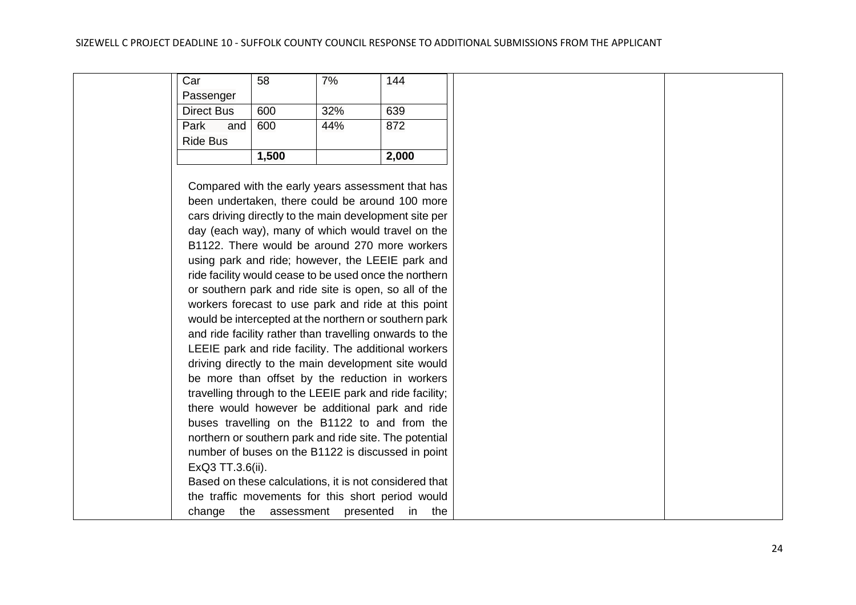|                   | 1,500 |     | 2,000 |
|-------------------|-------|-----|-------|
| <b>Ride Bus</b>   |       |     |       |
| Park<br>and       | 600   | 44% | 872   |
| <b>Direct Bus</b> | 600   | 32% | 639   |
| Passenger         |       |     |       |
| Car               | 58    | 7%  | 144   |

Compared with the early years assessment that has been undertaken, there could be around 100 more cars driving directly to the main development site per day (each way), many of which would travel on the B1122. There would be around 270 more workers using park and ride; however, the LEEIE park and ride facility would cease to be used once the northern or southern park and ride site is open, so all of the workers forecast to use park and ride at this point would be intercepted at the northern or southern park and ride facility rather than travelling onwards to the LEEIE park and ride facility. The additional workers driving directly to the main development site would be more than offset by the reduction in workers travelling through to the LEEIE park and ride facility; there would however be additional park and ride buses travelling on the B1122 to and from the northern or southern park and ride site. The potential number of buses on the B1122 is discussed in point ExQ3 TT.3.6(ii). Based on these calculations, it is not considered that the traffic movements for this short period would change the assessment presented in the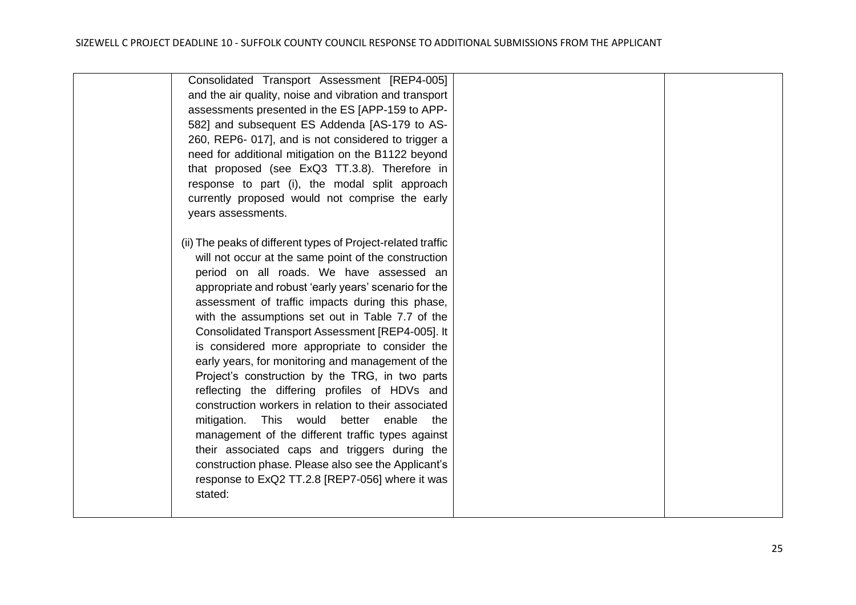| Consolidated Transport Assessment [REP4-005]<br>and the air quality, noise and vibration and transport<br>assessments presented in the ES [APP-159 to APP-<br>582] and subsequent ES Addenda [AS-179 to AS-<br>260, REP6-017], and is not considered to trigger a<br>need for additional mitigation on the B1122 beyond<br>that proposed (see ExQ3 TT.3.8). Therefore in<br>response to part (i), the modal split approach                                                                 |  |
|--------------------------------------------------------------------------------------------------------------------------------------------------------------------------------------------------------------------------------------------------------------------------------------------------------------------------------------------------------------------------------------------------------------------------------------------------------------------------------------------|--|
| currently proposed would not comprise the early<br>years assessments.<br>(ii) The peaks of different types of Project-related traffic                                                                                                                                                                                                                                                                                                                                                      |  |
| will not occur at the same point of the construction<br>period on all roads. We have assessed an<br>appropriate and robust 'early years' scenario for the<br>assessment of traffic impacts during this phase,<br>with the assumptions set out in Table 7.7 of the<br>Consolidated Transport Assessment [REP4-005]. It<br>is considered more appropriate to consider the                                                                                                                    |  |
| early years, for monitoring and management of the<br>Project's construction by the TRG, in two parts<br>reflecting the differing profiles of HDVs and<br>construction workers in relation to their associated<br>This would<br>better enable the<br>mitigation.<br>management of the different traffic types against<br>their associated caps and triggers during the<br>construction phase. Please also see the Applicant's<br>response to ExQ2 TT.2.8 [REP7-056] where it was<br>stated: |  |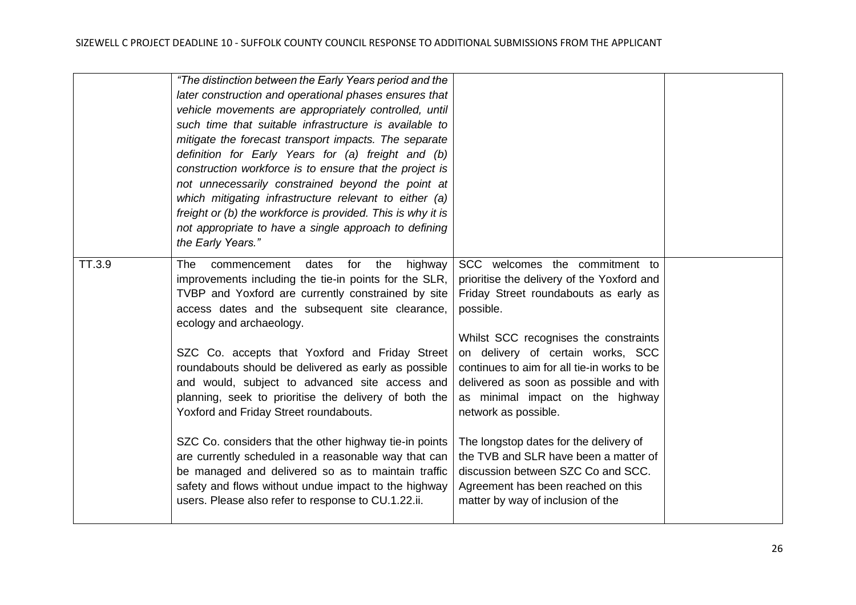|        | "The distinction between the Early Years period and the     |                                             |  |
|--------|-------------------------------------------------------------|---------------------------------------------|--|
|        | later construction and operational phases ensures that      |                                             |  |
|        | vehicle movements are appropriately controlled, until       |                                             |  |
|        | such time that suitable infrastructure is available to      |                                             |  |
|        | mitigate the forecast transport impacts. The separate       |                                             |  |
|        | definition for Early Years for (a) freight and (b)          |                                             |  |
|        | construction workforce is to ensure that the project is     |                                             |  |
|        | not unnecessarily constrained beyond the point at           |                                             |  |
|        | which mitigating infrastructure relevant to either (a)      |                                             |  |
|        | freight or (b) the workforce is provided. This is why it is |                                             |  |
|        | not appropriate to have a single approach to defining       |                                             |  |
|        | the Early Years."                                           |                                             |  |
| TT.3.9 | dates<br>for<br>the<br>The<br>commencement<br>highway       | SCC welcomes the commitment to              |  |
|        | improvements including the tie-in points for the SLR,       | prioritise the delivery of the Yoxford and  |  |
|        | TVBP and Yoxford are currently constrained by site          | Friday Street roundabouts as early as       |  |
|        | access dates and the subsequent site clearance,             | possible.                                   |  |
|        | ecology and archaeology.                                    |                                             |  |
|        |                                                             | Whilst SCC recognises the constraints       |  |
|        | SZC Co. accepts that Yoxford and Friday Street              | on delivery of certain works, SCC           |  |
|        | roundabouts should be delivered as early as possible        | continues to aim for all tie-in works to be |  |
|        | and would, subject to advanced site access and              | delivered as soon as possible and with      |  |
|        | planning, seek to prioritise the delivery of both the       | as minimal impact on the highway            |  |
|        | Yoxford and Friday Street roundabouts.                      | network as possible.                        |  |
|        |                                                             |                                             |  |
|        | SZC Co. considers that the other highway tie-in points      | The longstop dates for the delivery of      |  |
|        | are currently scheduled in a reasonable way that can        | the TVB and SLR have been a matter of       |  |
|        | be managed and delivered so as to maintain traffic          | discussion between SZC Co and SCC.          |  |
|        | safety and flows without undue impact to the highway        | Agreement has been reached on this          |  |
|        | users. Please also refer to response to CU.1.22.ii.         | matter by way of inclusion of the           |  |
|        |                                                             |                                             |  |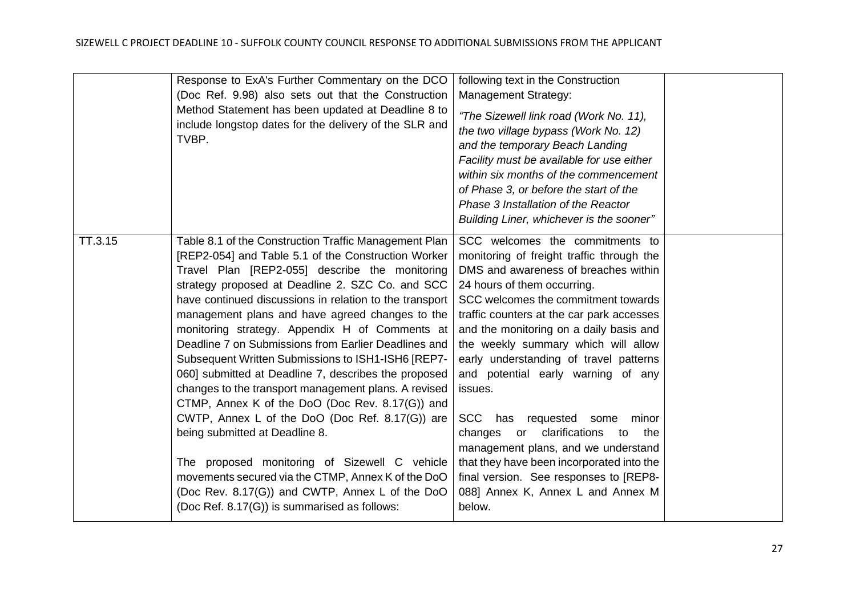|         | Response to ExA's Further Commentary on the DCO<br>(Doc Ref. 9.98) also sets out that the Construction<br>Method Statement has been updated at Deadline 8 to<br>include longstop dates for the delivery of the SLR and<br>TVBP.                                                                                                                                                                                                                                                                                                                                                                                                                                                                                                                                                                                                                                                                                                                                    | following text in the Construction<br><b>Management Strategy:</b><br>"The Sizewell link road (Work No. 11),<br>the two village bypass (Work No. 12)<br>and the temporary Beach Landing<br>Facility must be available for use either<br>within six months of the commencement<br>of Phase 3, or before the start of the<br>Phase 3 Installation of the Reactor<br>Building Liner, whichever is the sooner"                                                                                                                                                                                                                                                                            |  |
|---------|--------------------------------------------------------------------------------------------------------------------------------------------------------------------------------------------------------------------------------------------------------------------------------------------------------------------------------------------------------------------------------------------------------------------------------------------------------------------------------------------------------------------------------------------------------------------------------------------------------------------------------------------------------------------------------------------------------------------------------------------------------------------------------------------------------------------------------------------------------------------------------------------------------------------------------------------------------------------|--------------------------------------------------------------------------------------------------------------------------------------------------------------------------------------------------------------------------------------------------------------------------------------------------------------------------------------------------------------------------------------------------------------------------------------------------------------------------------------------------------------------------------------------------------------------------------------------------------------------------------------------------------------------------------------|--|
| TT.3.15 | Table 8.1 of the Construction Traffic Management Plan<br>[REP2-054] and Table 5.1 of the Construction Worker<br>Travel Plan [REP2-055] describe the monitoring<br>strategy proposed at Deadline 2. SZC Co. and SCC<br>have continued discussions in relation to the transport<br>management plans and have agreed changes to the<br>monitoring strategy. Appendix H of Comments at<br>Deadline 7 on Submissions from Earlier Deadlines and<br>Subsequent Written Submissions to ISH1-ISH6 [REP7-<br>060] submitted at Deadline 7, describes the proposed<br>changes to the transport management plans. A revised<br>CTMP, Annex K of the DoO (Doc Rev. 8.17(G)) and<br>CWTP, Annex L of the DoO (Doc Ref. 8.17(G)) are<br>being submitted at Deadline 8.<br>The proposed monitoring of Sizewell C vehicle<br>movements secured via the CTMP, Annex K of the DoO<br>(Doc Rev. 8.17(G)) and CWTP, Annex L of the DoO<br>(Doc Ref. 8.17(G)) is summarised as follows: | SCC welcomes the commitments to<br>monitoring of freight traffic through the<br>DMS and awareness of breaches within<br>24 hours of them occurring.<br>SCC welcomes the commitment towards<br>traffic counters at the car park accesses<br>and the monitoring on a daily basis and<br>the weekly summary which will allow<br>early understanding of travel patterns<br>and potential early warning of any<br>issues.<br>SCC has requested some<br>minor<br>clarifications<br>changes<br>or<br>the<br>to<br>management plans, and we understand<br>that they have been incorporated into the<br>final version. See responses to [REP8-<br>088] Annex K, Annex L and Annex M<br>below. |  |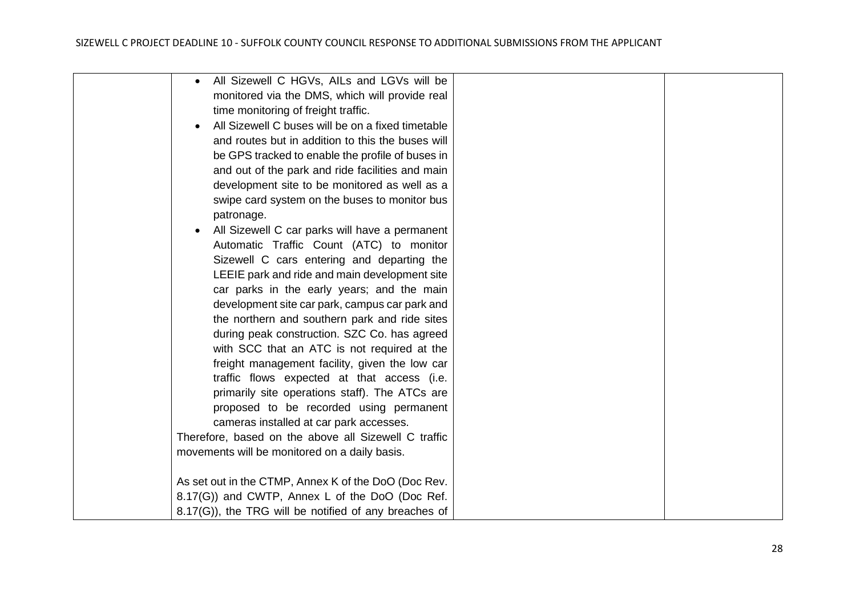| All Sizewell C HGVs, AlLs and LGVs will be                  |  |
|-------------------------------------------------------------|--|
| monitored via the DMS, which will provide real              |  |
| time monitoring of freight traffic.                         |  |
| All Sizewell C buses will be on a fixed timetable           |  |
| and routes but in addition to this the buses will           |  |
| be GPS tracked to enable the profile of buses in            |  |
| and out of the park and ride facilities and main            |  |
| development site to be monitored as well as a               |  |
| swipe card system on the buses to monitor bus               |  |
| patronage.                                                  |  |
| All Sizewell C car parks will have a permanent<br>$\bullet$ |  |
| Automatic Traffic Count (ATC) to monitor                    |  |
| Sizewell C cars entering and departing the                  |  |
| LEEIE park and ride and main development site               |  |
| car parks in the early years; and the main                  |  |
| development site car park, campus car park and              |  |
| the northern and southern park and ride sites               |  |
| during peak construction. SZC Co. has agreed                |  |
| with SCC that an ATC is not required at the                 |  |
| freight management facility, given the low car              |  |
| traffic flows expected at that access (i.e.                 |  |
| primarily site operations staff). The ATCs are              |  |
| proposed to be recorded using permanent                     |  |
| cameras installed at car park accesses.                     |  |
| Therefore, based on the above all Sizewell C traffic        |  |
| movements will be monitored on a daily basis.               |  |
|                                                             |  |
| As set out in the CTMP, Annex K of the DoO (Doc Rev.        |  |
| 8.17(G)) and CWTP, Annex L of the DoO (Doc Ref.             |  |
| 8.17(G)), the TRG will be notified of any breaches of       |  |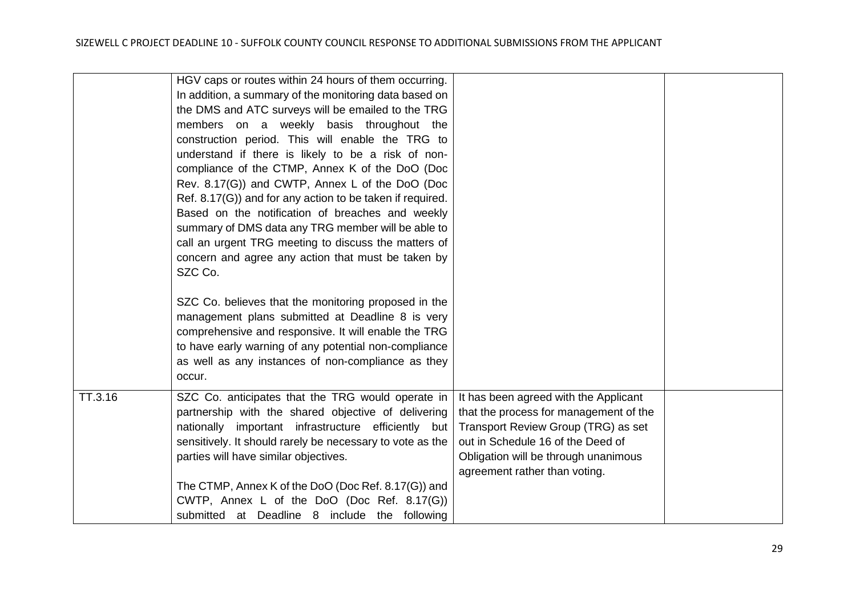|         | HGV caps or routes within 24 hours of them occurring.<br>In addition, a summary of the monitoring data based on<br>the DMS and ATC surveys will be emailed to the TRG<br>members on a weekly basis throughout the<br>construction period. This will enable the TRG to<br>understand if there is likely to be a risk of non-<br>compliance of the CTMP, Annex K of the DoO (Doc<br>Rev. 8.17(G)) and CWTP, Annex L of the DoO (Doc<br>Ref. 8.17(G)) and for any action to be taken if required.<br>Based on the notification of breaches and weekly<br>summary of DMS data any TRG member will be able to<br>call an urgent TRG meeting to discuss the matters of<br>concern and agree any action that must be taken by<br>SZC Co.<br>SZC Co. believes that the monitoring proposed in the<br>management plans submitted at Deadline 8 is very<br>comprehensive and responsive. It will enable the TRG<br>to have early warning of any potential non-compliance<br>as well as any instances of non-compliance as they<br>occur. |                                                                                                                                                                                                                                      |  |
|---------|--------------------------------------------------------------------------------------------------------------------------------------------------------------------------------------------------------------------------------------------------------------------------------------------------------------------------------------------------------------------------------------------------------------------------------------------------------------------------------------------------------------------------------------------------------------------------------------------------------------------------------------------------------------------------------------------------------------------------------------------------------------------------------------------------------------------------------------------------------------------------------------------------------------------------------------------------------------------------------------------------------------------------------|--------------------------------------------------------------------------------------------------------------------------------------------------------------------------------------------------------------------------------------|--|
| TT.3.16 | SZC Co. anticipates that the TRG would operate in<br>partnership with the shared objective of delivering<br>nationally important infrastructure efficiently but<br>sensitively. It should rarely be necessary to vote as the<br>parties will have similar objectives.<br>The CTMP, Annex K of the DoO (Doc Ref. 8.17(G)) and<br>CWTP, Annex L of the DoO (Doc Ref. 8.17(G))<br>submitted at Deadline 8 include the following                                                                                                                                                                                                                                                                                                                                                                                                                                                                                                                                                                                                   | It has been agreed with the Applicant<br>that the process for management of the<br>Transport Review Group (TRG) as set<br>out in Schedule 16 of the Deed of<br>Obligation will be through unanimous<br>agreement rather than voting. |  |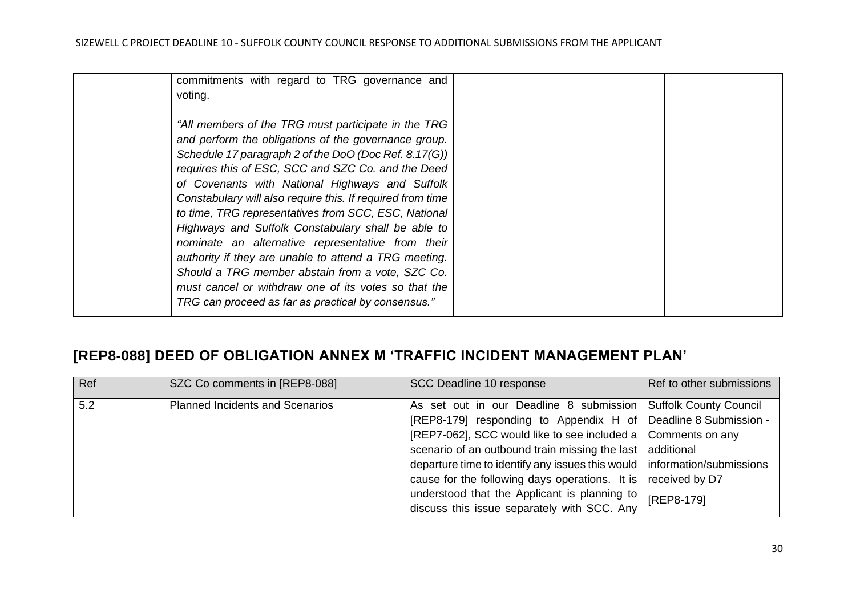| commitments with regard to TRG governance and              |  |
|------------------------------------------------------------|--|
| voting.                                                    |  |
|                                                            |  |
| "All members of the TRG must participate in the TRG        |  |
| and perform the obligations of the governance group.       |  |
| Schedule 17 paragraph 2 of the DoO (Doc Ref. 8.17(G))      |  |
| requires this of ESC, SCC and SZC Co. and the Deed         |  |
| of Covenants with National Highways and Suffolk            |  |
| Constabulary will also require this. If required from time |  |
| to time, TRG representatives from SCC, ESC, National       |  |
| Highways and Suffolk Constabulary shall be able to         |  |
| nominate an alternative representative from their          |  |
| authority if they are unable to attend a TRG meeting.      |  |
| Should a TRG member abstain from a vote, SZC Co.           |  |
| must cancel or withdraw one of its votes so that the       |  |
| TRG can proceed as far as practical by consensus."         |  |
|                                                            |  |

## <span id="page-29-0"></span>**[REP8-088] DEED OF OBLIGATION ANNEX M 'TRAFFIC INCIDENT MANAGEMENT PLAN'**

| Ref | SZC Co comments in [REP8-088]          | SCC Deadline 10 response                                                   | Ref to other submissions |
|-----|----------------------------------------|----------------------------------------------------------------------------|--------------------------|
| 5.2 | <b>Planned Incidents and Scenarios</b> | As set out in our Deadline 8 submission Suffolk County Council             |                          |
|     |                                        | [REP8-179] responding to Appendix H of Deadline 8 Submission -             |                          |
|     |                                        | [REP7-062], SCC would like to see included a   Comments on any             |                          |
|     |                                        | scenario of an outbound train missing the last additional                  |                          |
|     |                                        | departure time to identify any issues this would   information/submissions |                          |
|     |                                        | cause for the following days operations. It is                             | received by D7           |
|     |                                        | understood that the Applicant is planning to                               | [REP8-179]               |
|     |                                        | discuss this issue separately with SCC. Any                                |                          |